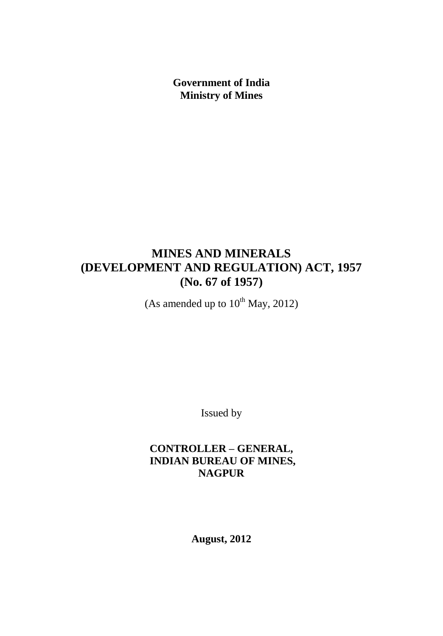**Government of India Ministry of Mines**

# **MINES AND MINERALS (DEVELOPMENT AND REGULATION) ACT, 1957 (No. 67 of 1957)**

(As amended up to  $10^{th}$  May, 2012)

Issued by

# **CONTROLLER – GENERAL, INDIAN BUREAU OF MINES, NAGPUR**

**August, 2012**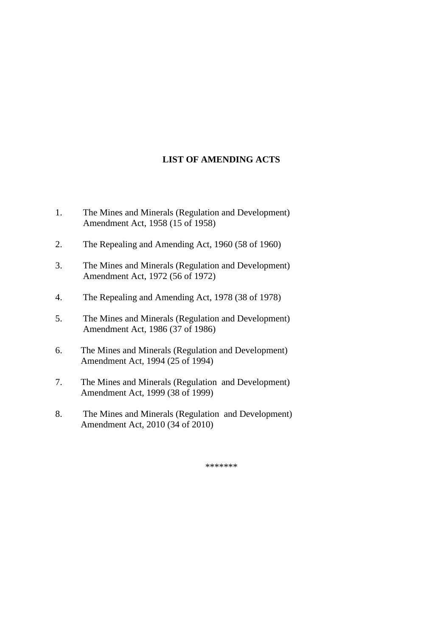## **LIST OF AMENDING ACTS**

- 1. The Mines and Minerals (Regulation and Development) Amendment Act, 1958 (15 of 1958)
- 2. The Repealing and Amending Act, 1960 (58 of 1960)
- 3. The Mines and Minerals (Regulation and Development) Amendment Act, 1972 (56 of 1972)
- 4. The Repealing and Amending Act, 1978 (38 of 1978)
- 5. The Mines and Minerals (Regulation and Development) Amendment Act, 1986 (37 of 1986)
- 6. The Mines and Minerals (Regulation and Development) Amendment Act, 1994 (25 of 1994)
- 7. The Mines and Minerals (Regulation and Development) Amendment Act, 1999 (38 of 1999)
- 8. The Mines and Minerals (Regulation and Development) Amendment Act, 2010 (34 of 2010)

\*\*\*\*\*\*\*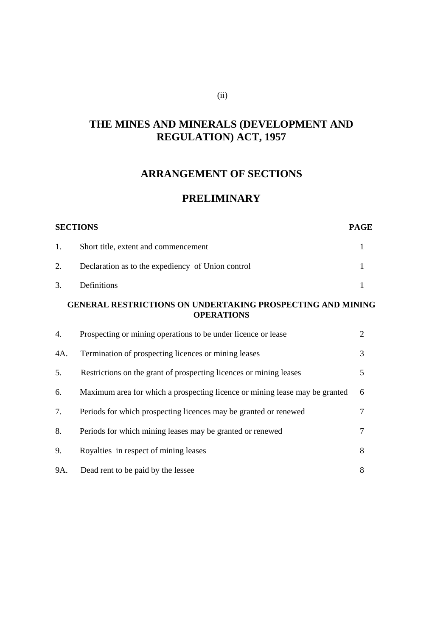# **THE MINES AND MINERALS (DEVELOPMENT AND REGULATION) ACT, 1957**

## **ARRANGEMENT OF SECTIONS**

## **PRELIMINARY**

|     | <b>SECTIONS</b>                                                                        | <b>PAGE</b>    |
|-----|----------------------------------------------------------------------------------------|----------------|
| 1.  | Short title, extent and commencement                                                   | 1              |
| 2.  | Declaration as to the expediency of Union control                                      |                |
| 3.  | Definitions                                                                            |                |
|     | <b>GENERAL RESTRICTIONS ON UNDERTAKING PROSPECTING AND MINING</b><br><b>OPERATIONS</b> |                |
| 4.  | Prospecting or mining operations to be under licence or lease                          | $\overline{2}$ |
| 4A. | Termination of prospecting licences or mining leases                                   | 3              |
| 5.  | Restrictions on the grant of prospecting licences or mining leases                     | 5              |
| 6.  | Maximum area for which a prospecting licence or mining lease may be granted            | 6              |
| 7.  | Periods for which prospecting licences may be granted or renewed                       | 7              |
| 8.  | Periods for which mining leases may be granted or renewed                              | 7              |
| 9.  | Royalties in respect of mining leases                                                  | 8              |

9A. Dead rent to be paid by the lessee 8

(ii)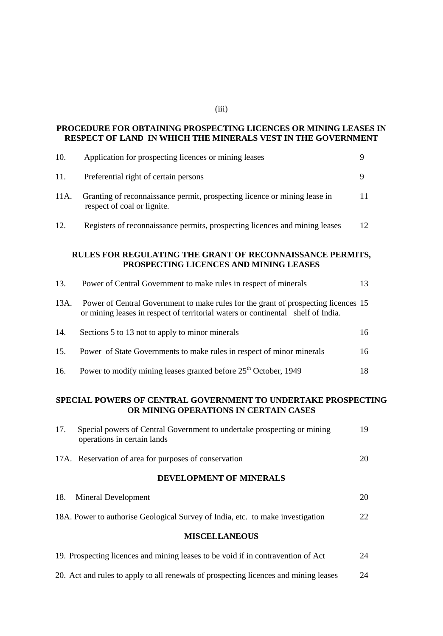#### **PROCEDURE FOR OBTAINING PROSPECTING LICENCES OR MINING LEASES IN RESPECT OF LAND IN WHICH THE MINERALS VEST IN THE GOVERNMENT**

| 10.  | Application for prospecting licences or mining leases                                                                                                                  | 9  |
|------|------------------------------------------------------------------------------------------------------------------------------------------------------------------------|----|
| 11.  | Preferential right of certain persons                                                                                                                                  | 9  |
| 11A. | Granting of reconnaissance permit, prospecting licence or mining lease in<br>respect of coal or lignite.                                                               | 11 |
| 12.  | Registers of reconnaissance permits, prospecting licences and mining leases                                                                                            | 12 |
|      | RULES FOR REGULATING THE GRANT OF RECONNAISSANCE PERMITS,<br>PROSPECTING LICENCES AND MINING LEASES                                                                    |    |
| 13.  | Power of Central Government to make rules in respect of minerals                                                                                                       | 13 |
| 13A. | Power of Central Government to make rules for the grant of prospecting licences 15<br>or mining leases in respect of territorial waters or continental shelf of India. |    |
| 14.  | Sections 5 to 13 not to apply to minor minerals                                                                                                                        | 16 |
|      |                                                                                                                                                                        |    |
| 15.  | Power of State Governments to make rules in respect of minor minerals                                                                                                  | 16 |

#### **SPECIAL POWERS OF CENTRAL GOVERNMENT TO UNDERTAKE PROSPECTING OR MINING OPERATIONS IN CERTAIN CASES**

| 17. | Special powers of Central Government to undertake prospecting or mining<br>operations in certain lands | 19 |
|-----|--------------------------------------------------------------------------------------------------------|----|
|     | 17A. Reservation of area for purposes of conservation                                                  | 20 |
|     | <b>DEVELOPMENT OF MINERALS</b>                                                                         |    |
| 18. | Mineral Development                                                                                    | 20 |
|     | 18A. Power to authorise Geological Survey of India, etc. to make investigation                         | 22 |
|     | <b>MISCELLANEOUS</b>                                                                                   |    |
|     | 19. Prospecting licences and mining leases to be void if in contravention of Act                       | 24 |

20. Act and rules to apply to all renewals of prospecting licences and mining leases 24

(iii)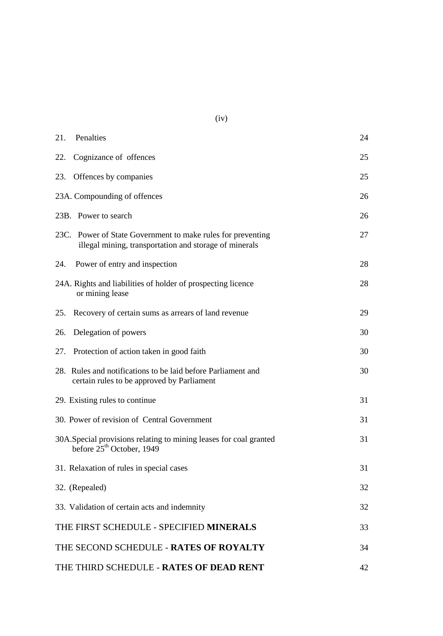| 21.<br>Penalties                                                                                                      | 24 |
|-----------------------------------------------------------------------------------------------------------------------|----|
| Cognizance of offences<br>22.                                                                                         | 25 |
| Offences by companies<br>23.                                                                                          | 25 |
| 23A. Compounding of offences                                                                                          | 26 |
| 23B. Power to search                                                                                                  | 26 |
| 23C. Power of State Government to make rules for preventing<br>illegal mining, transportation and storage of minerals | 27 |
| Power of entry and inspection<br>24.                                                                                  | 28 |
| 24A. Rights and liabilities of holder of prospecting licence<br>or mining lease                                       | 28 |
| Recovery of certain sums as arrears of land revenue<br>25.                                                            | 29 |
| Delegation of powers<br>26.                                                                                           | 30 |
| Protection of action taken in good faith<br>27.                                                                       | 30 |
| 28. Rules and notifications to be laid before Parliament and<br>certain rules to be approved by Parliament            | 30 |
| 29. Existing rules to continue                                                                                        | 31 |
| 30. Power of revision of Central Government                                                                           | 31 |
| 30A. Special provisions relating to mining leases for coal granted<br>before $25th$ October, 1949                     | 31 |
| 31. Relaxation of rules in special cases                                                                              | 31 |
| 32. (Repealed)                                                                                                        | 32 |
| 33. Validation of certain acts and indemnity                                                                          | 32 |
| THE FIRST SCHEDULE - SPECIFIED MINERALS                                                                               | 33 |
| THE SECOND SCHEDULE - RATES OF ROYALTY                                                                                | 34 |
| THE THIRD SCHEDULE - RATES OF DEAD RENT                                                                               | 42 |

(iv)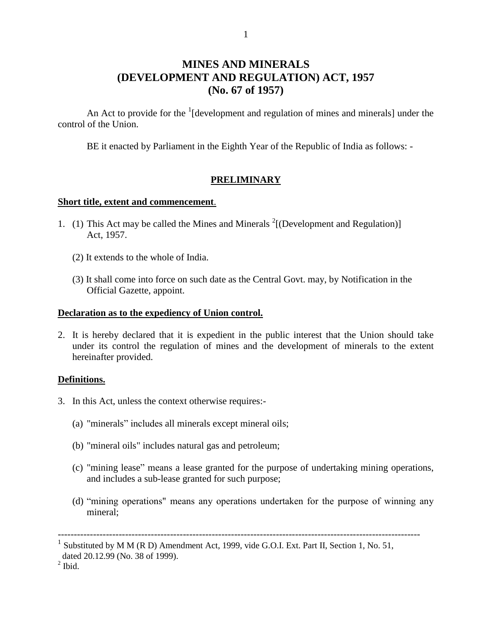## **MINES AND MINERALS (DEVELOPMENT AND REGULATION) ACT, 1957 (No. 67 of 1957)**

An Act to provide for the  $\frac{1}{2}$  [development and regulation of mines and minerals] under the control of the Union.

BE it enacted by Parliament in the Eighth Year of the Republic of India as follows: -

## **PRELIMINARY**

#### **Short title, extent and commencement**.

- 1. (1) This Act may be called the Mines and Minerals  $2$ [(Development and Regulation)] Act, 1957.
	- (2) It extends to the whole of India.
	- (3) It shall come into force on such date as the Central Govt. may, by Notification in the Official Gazette, appoint.

#### **Declaration as to the expediency of Union control.**

2. It is hereby declared that it is expedient in the public interest that the Union should take under its control the regulation of mines and the development of minerals to the extent hereinafter provided.

## **Definitions.**

- 3. In this Act, unless the context otherwise requires:-
	- (a) "minerals" includes all minerals except mineral oils;
	- (b) "mineral oils" includes natural gas and petroleum;
	- (c) "mining lease" means a lease granted for the purpose of undertaking mining operations, and includes a sub-lease granted for such purpose;
	- (d) "mining operations" means any operations undertaken for the purpose of winning any mineral;

<sup>-----------------------------------------------------------------------------------------------------------------</sup>

<sup>1</sup> Substituted by M M (R D) Amendment Act, 1999, vide G.O.I. Ext. Part II, Section 1, No. 51,

dated 20.12.99 (No. 38 of 1999).

 $<sup>2</sup>$  Ibid.</sup>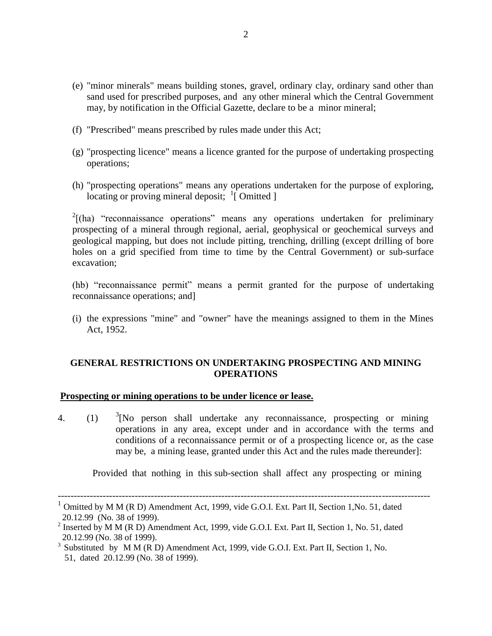- (e) "minor minerals" means building stones, gravel, ordinary clay, ordinary sand other than sand used for prescribed purposes, and any other mineral which the Central Government may, by notification in the Official Gazette, declare to be a minor mineral;
- (f) "Prescribed" means prescribed by rules made under this Act;
- (g) "prospecting licence" means a licence granted for the purpose of undertaking prospecting operations;
- (h) "prospecting operations" means any operations undertaken for the purpose of exploring, locating or proving mineral deposit;  $\frac{1}{1}$  Omitted ]

 $2$ [(ha) "reconnaissance operations" means any operations undertaken for preliminary prospecting of a mineral through regional, aerial, geophysical or geochemical surveys and geological mapping, but does not include pitting, trenching, drilling (except drilling of bore holes on a grid specified from time to time by the Central Government) or sub-surface excavation;

(hb) "reconnaissance permit" means a permit granted for the purpose of undertaking reconnaissance operations; and]

(i) the expressions "mine" and "owner" have the meanings assigned to them in the Mines Act, 1952.

## **GENERAL RESTRICTIONS ON UNDERTAKING PROSPECTING AND MINING OPERATIONS**

#### **Prospecting or mining operations to be under licence or lease.**

 $4. (1)$  $\frac{3}{1}$ [No person shall undertake any reconnaissance, prospecting or mining operations in any area, except under and in accordance with the terms and conditions of a reconnaissance permit or of a prospecting licence or, as the case may be, a mining lease, granted under this Act and the rules made thereunder]:

Provided that nothing in this sub-section shall affect any prospecting or mining

--------------------------------------------------------------------------------------------------------------------

<sup>1</sup> Omitted by M M (R D) Amendment Act, 1999, vide G.O.I. Ext. Part II, Section 1,No. 51, dated 20.12.99 (No. 38 of 1999).

<sup>&</sup>lt;sup>2</sup> Inserted by M M (R D) Amendment Act, 1999, vide G.O.I. Ext. Part II, Section 1, No. 51, dated 20.12.99 (No. 38 of 1999).

<sup>&</sup>lt;sup>3</sup> Substituted by M M (R D) Amendment Act, 1999, vide G.O.I. Ext. Part II, Section 1, No. 51, dated 20.12.99 (No. 38 of 1999).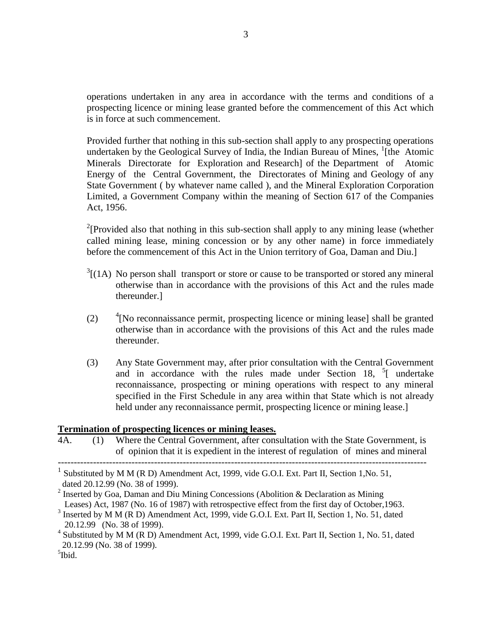operations undertaken in any area in accordance with the terms and conditions of a prospecting licence or mining lease granted before the commencement of this Act which is in force at such commencement.

Provided further that nothing in this sub-section shall apply to any prospecting operations undertaken by the Geological Survey of India, the Indian Bureau of Mines, <sup>1</sup>[the Atomic Minerals Directorate for Exploration and Research] of the Department of Atomic Energy of the Central Government, the Directorates of Mining and Geology of any State Government ( by whatever name called ), and the Mineral Exploration Corporation Limited, a Government Company within the meaning of Section 617 of the Companies Act, 1956.

<sup>2</sup>[Provided also that nothing in this sub-section shall apply to any mining lease (whether called mining lease, mining concession or by any other name) in force immediately before the commencement of this Act in the Union territory of Goa, Daman and Diu.]

- $3[(1A)$  No person shall transport or store or cause to be transported or stored any mineral otherwise than in accordance with the provisions of this Act and the rules made thereunder.]
- $(2)$ <sup>4</sup>[No reconnaissance permit, prospecting licence or mining lease] shall be granted otherwise than in accordance with the provisions of this Act and the rules made thereunder.
- (3) Any State Government may, after prior consultation with the Central Government and in accordance with the rules made under Section 18, <sup>5</sup>[ undertake reconnaissance, prospecting or mining operations with respect to any mineral specified in the First Schedule in any area within that State which is not already held under any reconnaissance permit, prospecting licence or mining lease.

## **Termination of prospecting licences or mining leases.**

4A. (1) Where the Central Government, after consultation with the State Government, is of opinion that it is expedient in the interest of regulation of mines and mineral

-------------------------------------------------------------------------------------------------------------------

<sup>&</sup>lt;sup>1</sup> Substituted by M M (R D) Amendment Act, 1999, vide G.O.I. Ext. Part II, Section 1, No. 51, dated 20.12.99 (No. 38 of 1999).

<sup>&</sup>lt;sup>2</sup> Inserted by Goa, Daman and Diu Mining Concessions (Abolition & Declaration as Mining Leases) Act, 1987 (No. 16 of 1987) with retrospective effect from the first day of October,1963.

<sup>&</sup>lt;sup>3</sup> Inserted by M M (R D) Amendment Act, 1999, vide G.O.I. Ext. Part II, Section 1, No. 51, dated 20.12.99 (No. 38 of 1999).

<sup>&</sup>lt;sup>4</sup> Substituted by M M (R D) Amendment Act, 1999, vide G.O.I. Ext. Part II, Section 1, No. 51, dated 20.12.99 (No. 38 of 1999).

<sup>5</sup> Ibid.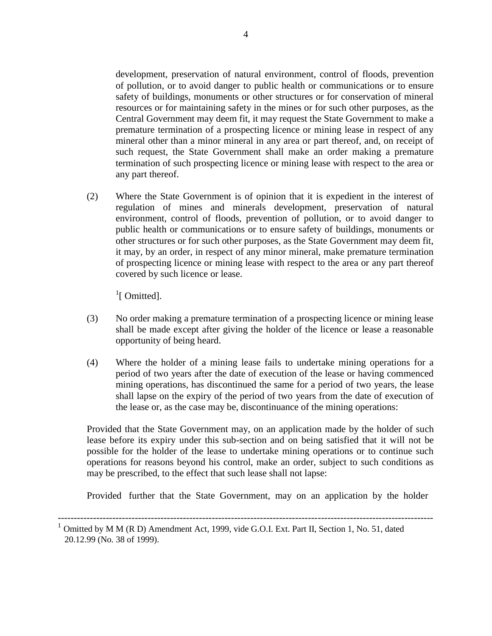development, preservation of natural environment, control of floods, prevention of pollution, or to avoid danger to public health or communications or to ensure safety of buildings, monuments or other structures or for conservation of mineral resources or for maintaining safety in the mines or for such other purposes, as the Central Government may deem fit, it may request the State Government to make a premature termination of a prospecting licence or mining lease in respect of any mineral other than a minor mineral in any area or part thereof, and, on receipt of such request, the State Government shall make an order making a premature termination of such prospecting licence or mining lease with respect to the area or any part thereof.

(2) Where the State Government is of opinion that it is expedient in the interest of regulation of mines and minerals development, preservation of natural environment, control of floods, prevention of pollution, or to avoid danger to public health or communications or to ensure safety of buildings, monuments or other structures or for such other purposes, as the State Government may deem fit, it may, by an order, in respect of any minor mineral, make premature termination of prospecting licence or mining lease with respect to the area or any part thereof covered by such licence or lease.

 $\rm{^{1}}[$  Omitted].

- (3) No order making a premature termination of a prospecting licence or mining lease shall be made except after giving the holder of the licence or lease a reasonable opportunity of being heard.
- (4) Where the holder of a mining lease fails to undertake mining operations for a period of two years after the date of execution of the lease or having commenced mining operations, has discontinued the same for a period of two years, the lease shall lapse on the expiry of the period of two years from the date of execution of the lease or, as the case may be, discontinuance of the mining operations:

Provided that the State Government may, on an application made by the holder of such lease before its expiry under this sub-section and on being satisfied that it will not be possible for the holder of the lease to undertake mining operations or to continue such operations for reasons beyond his control, make an order, subject to such conditions as may be prescribed, to the effect that such lease shall not lapse:

Provided further that the State Government, may on an application by the holder

---------------------------------------------------------------------------------------------------------------------

 $1$  Omitted by M M (R D) Amendment Act, 1999, vide G.O.I. Ext. Part II, Section 1, No. 51, dated 20.12.99 (No. 38 of 1999).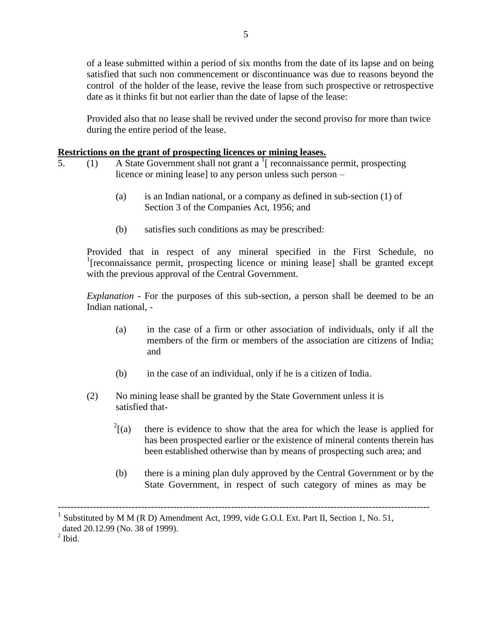of a lease submitted within a period of six months from the date of its lapse and on being satisfied that such non commencement or discontinuance was due to reasons beyond the control of the holder of the lease, revive the lease from such prospective or retrospective date as it thinks fit but not earlier than the date of lapse of the lease:

Provided also that no lease shall be revived under the second proviso for more than twice during the entire period of the lease.

## **Restrictions on the grant of prospecting licences or mining leases.**

- 5. (1) A State Government shall not grant a  $\frac{1}{1}$  reconnaissance permit, prospecting licence or mining lease] to any person unless such person –
	- (a) is an Indian national, or a company as defined in sub-section (1) of Section 3 of the Companies Act, 1956; and
	- (b) satisfies such conditions as may be prescribed:

Provided that in respect of any mineral specified in the First Schedule, no <sup>1</sup>[reconnaissance permit, prospecting licence or mining lease] shall be granted except with the previous approval of the Central Government.

*Explanation* - For the purposes of this sub-section, a person shall be deemed to be an Indian national, -

- (a) in the case of a firm or other association of individuals, only if all the members of the firm or members of the association are citizens of India; and
- (b) in the case of an individual, only if he is a citizen of India.
- (2) No mining lease shall be granted by the State Government unless it is satisfied that-
	- $^{2}$ [(a) there is evidence to show that the area for which the lease is applied for has been prospected earlier or the existence of mineral contents therein has been established otherwise than by means of prospecting such area; and
	- (b) there is a mining plan duly approved by the Central Government or by the State Government, in respect of such category of mines as may be

<sup>--------------------------------------------------------------------------------------------------------------------</sup> 1 Substituted by M M (R D) Amendment Act, 1999, vide G.O.I. Ext. Part II, Section 1, No. 51,

dated 20.12.99 (No. 38 of 1999).

 $<sup>2</sup>$  Ibid.</sup>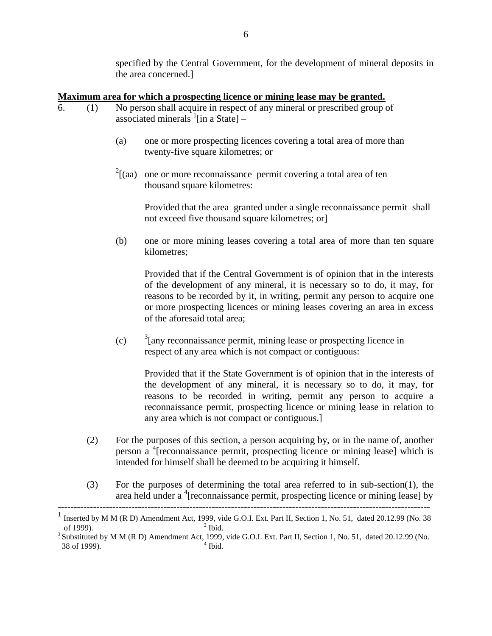specified by the Central Government, for the development of mineral deposits in the area concerned.]

#### **Maximum area for which a prospecting licence or mining lease may be granted.**

- 6. (1) No person shall acquire in respect of any mineral or prescribed group of associated minerals  $\frac{1}{2}$ [in a State] –
	- (a) one or more prospecting licences covering a total area of more than twenty-five square kilometres; or
	- $2$ [(aa) one or more reconnaissance permit covering a total area of ten thousand square kilometres:

 Provided that the area granted under a single reconnaissance permit shall not exceed five thousand square kilometres; or]

(b) one or more mining leases covering a total area of more than ten square kilometres;

Provided that if the Central Government is of opinion that in the interests of the development of any mineral, it is necessary so to do, it may, for reasons to be recorded by it, in writing, permit any person to acquire one or more prospecting licences or mining leases covering an area in excess of the aforesaid total area;

 $(c)$  $\frac{3}{2}$ [any reconnaissance permit, mining lease or prospecting licence in respect of any area which is not compact or contiguous:

Provided that if the State Government is of opinion that in the interests of the development of any mineral, it is necessary so to do, it may, for reasons to be recorded in writing, permit any person to acquire a reconnaissance permit, prospecting licence or mining lease in relation to any area which is not compact or contiguous.]

- (2) For the purposes of this section, a person acquiring by, or in the name of, another person a 4 [reconnaissance permit, prospecting licence or mining lease] which is intended for himself shall be deemed to be acquiring it himself.
- (3) For the purposes of determining the total area referred to in sub-section(1), the area held under a <sup>4</sup>[reconnaissance permit, prospecting licence or mining lease] by

<sup>--------------------------------------------------------------------------------------------------------------------</sup>

<sup>1</sup> Inserted by M M (R D) Amendment Act, 1999, vide G.O.I. Ext. Part II, Section 1, No. 51, dated 20.12.99 (No. 38 of 1999). <sup>2</sup>  $^{2}$  Ibid.

<sup>&</sup>lt;sup>3</sup> Substituted by M M (R D) Amendment Act, 1999, vide G.O.I. Ext. Part II, Section 1, No. 51, dated 20.12.99 (No. 38 of 1999). <sup>4</sup>  $^4$  Ibid.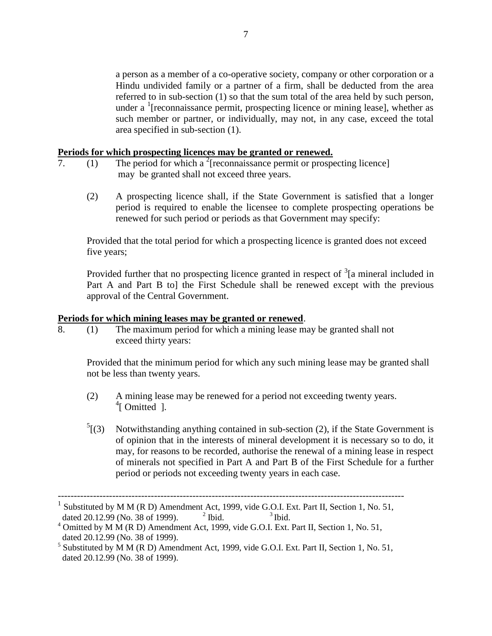a person as a member of a co-operative society, company or other corporation or a Hindu undivided family or a partner of a firm, shall be deducted from the area referred to in sub-section (1) so that the sum total of the area held by such person, under a <sup>1</sup>[reconnaissance permit, prospecting licence or mining lease], whether as such member or partner, or individually, may not, in any case, exceed the total area specified in sub-section (1).

#### **Periods for which prospecting licences may be granted or renewed.**

- 7.  $(1)$  The period for which a <sup>2</sup> [reconnaissance permit or prospecting licence] may be granted shall not exceed three years.
	- (2) A prospecting licence shall, if the State Government is satisfied that a longer period is required to enable the licensee to complete prospecting operations be renewed for such period or periods as that Government may specify:

Provided that the total period for which a prospecting licence is granted does not exceed five years;

Provided further that no prospecting licence granted in respect of  $3$ [a mineral included in Part A and Part B tol the First Schedule shall be renewed except with the previous approval of the Central Government.

#### **Periods for which mining leases may be granted or renewed**.

8. (1) The maximum period for which a mining lease may be granted shall not exceed thirty years:

Provided that the minimum period for which any such mining lease may be granted shall not be less than twenty years.

- (2) A mining lease may be renewed for a period not exceeding twenty years. <sup>4</sup>[ Omitted ].
- $^{5}$ [(3) Notwithstanding anything contained in sub-section (2), if the State Government is of opinion that in the interests of mineral development it is necessary so to do, it may, for reasons to be recorded, authorise the renewal of a mining lease in respect of minerals not specified in Part A and Part B of the First Schedule for a further period or periods not exceeding twenty years in each case.

<sup>------------------------------------------------------------------------------------------------------------</sup> 1 Substituted by M M (R D) Amendment Act, 1999, vide G.O.I. Ext. Part II, Section 1, No. 51,

dated 20.12.99 (No. 38 of 1999).  $2 \text{ Ibid.}$   $3 \text{ Ibid.}$ 

 $4$  Omitted by M M (R D) Amendment Act, 1999, vide G.O.I. Ext. Part II, Section 1, No. 51, dated 20.12.99 (No. 38 of 1999).

 $<sup>5</sup>$  Substituted by M M (R D) Amendment Act, 1999, vide G.O.I. Ext. Part II, Section 1, No. 51,</sup> dated 20.12.99 (No. 38 of 1999).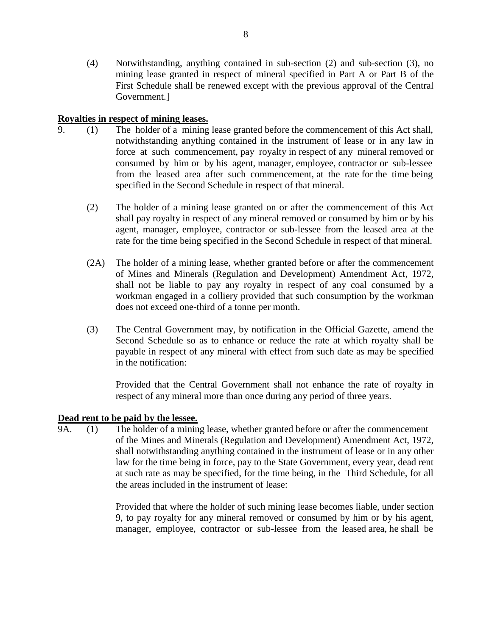(4) Notwithstanding, anything contained in sub-section (2) and sub-section (3), no mining lease granted in respect of mineral specified in Part A or Part B of the First Schedule shall be renewed except with the previous approval of the Central Government.]

#### **Royalties in respect of mining leases.**

- 9. (1) The holder of a mining lease granted before the commencement of this Act shall, notwithstanding anything contained in the instrument of lease or in any law in force at such commencement, pay royalty in respect of any mineral removed or consumed by him or by his agent, manager, employee, contractor or sub-lessee from the leased area after such commencement, at the rate for the time being specified in the Second Schedule in respect of that mineral.
	- (2) The holder of a mining lease granted on or after the commencement of this Act shall pay royalty in respect of any mineral removed or consumed by him or by his agent, manager, employee, contractor or sub-lessee from the leased area at the rate for the time being specified in the Second Schedule in respect of that mineral.
	- (2A) The holder of a mining lease, whether granted before or after the commencement of Mines and Minerals (Regulation and Development) Amendment Act, 1972, shall not be liable to pay any royalty in respect of any coal consumed by a workman engaged in a colliery provided that such consumption by the workman does not exceed one-third of a tonne per month.
	- (3) The Central Government may, by notification in the Official Gazette, amend the Second Schedule so as to enhance or reduce the rate at which royalty shall be payable in respect of any mineral with effect from such date as may be specified in the notification:

Provided that the Central Government shall not enhance the rate of royalty in respect of any mineral more than once during any period of three years.

## **Dead rent to be paid by the lessee.**

9A. (1) The holder of a mining lease, whether granted before or after the commencement of the Mines and Minerals (Regulation and Development) Amendment Act, 1972, shall notwithstanding anything contained in the instrument of lease or in any other law for the time being in force, pay to the State Government, every year, dead rent at such rate as may be specified, for the time being, in the Third Schedule, for all the areas included in the instrument of lease:

> Provided that where the holder of such mining lease becomes liable, under section 9, to pay royalty for any mineral removed or consumed by him or by his agent, manager, employee, contractor or sub-lessee from the leased area, he shall be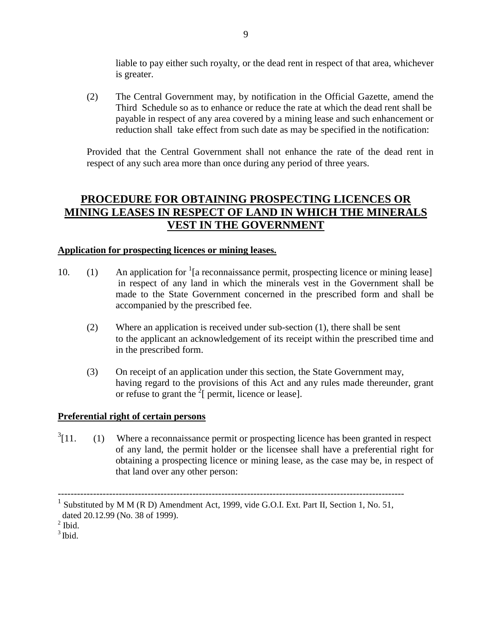liable to pay either such royalty, or the dead rent in respect of that area, whichever is greater.

(2) The Central Government may, by notification in the Official Gazette, amend the Third Schedule so as to enhance or reduce the rate at which the dead rent shall be payable in respect of any area covered by a mining lease and such enhancement or reduction shall take effect from such date as may be specified in the notification:

Provided that the Central Government shall not enhance the rate of the dead rent in respect of any such area more than once during any period of three years.

## **PROCEDURE FOR OBTAINING PROSPECTING LICENCES OR MINING LEASES IN RESPECT OF LAND IN WHICH THE MINERALS VEST IN THE GOVERNMENT**

## **Application for prospecting licences or mining leases.**

- 10.  $(1)$  An application for <sup>1</sup>[a reconnaissance permit, prospecting licence or mining lease] in respect of any land in which the minerals vest in the Government shall be made to the State Government concerned in the prescribed form and shall be accompanied by the prescribed fee.
	- (2) Where an application is received under sub-section (1), there shall be sent to the applicant an acknowledgement of its receipt within the prescribed time and in the prescribed form.
	- (3) On receipt of an application under this section, the State Government may, having regard to the provisions of this Act and any rules made thereunder, grant or refuse to grant the  $2$ [ permit, licence or lease].

## **Preferential right of certain persons**

 $^{3}$ [11. [11. (1) Where a reconnaissance permit or prospecting licence has been granted in respect of any land, the permit holder or the licensee shall have a preferential right for obtaining a prospecting licence or mining lease, as the case may be, in respect of that land over any other person:

<sup>------------------------------------------------------------------------------------------------------------</sup>

<sup>&</sup>lt;sup>1</sup> Substituted by M M (R D) Amendment Act, 1999, vide G.O.I. Ext. Part II, Section 1, No. 51, dated 20.12.99 (No. 38 of 1999).

 $<sup>2</sup>$  Ibid.</sup>

 $3$  Ibid.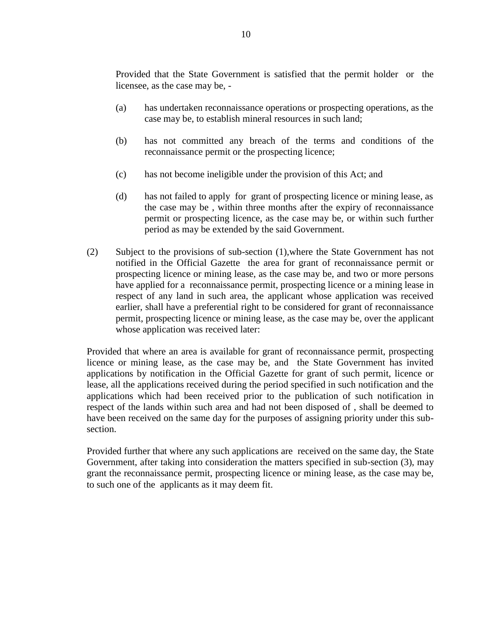Provided that the State Government is satisfied that the permit holder or the licensee, as the case may be, -

- (a) has undertaken reconnaissance operations or prospecting operations, as the case may be, to establish mineral resources in such land;
- (b) has not committed any breach of the terms and conditions of the reconnaissance permit or the prospecting licence;
- (c) has not become ineligible under the provision of this Act; and
- (d) has not failed to apply for grant of prospecting licence or mining lease, as the case may be , within three months after the expiry of reconnaissance permit or prospecting licence, as the case may be, or within such further period as may be extended by the said Government.
- (2) Subject to the provisions of sub-section (1),where the State Government has not notified in the Official Gazette the area for grant of reconnaissance permit or prospecting licence or mining lease, as the case may be, and two or more persons have applied for a reconnaissance permit, prospecting licence or a mining lease in respect of any land in such area, the applicant whose application was received earlier, shall have a preferential right to be considered for grant of reconnaissance permit, prospecting licence or mining lease, as the case may be, over the applicant whose application was received later:

Provided that where an area is available for grant of reconnaissance permit, prospecting licence or mining lease, as the case may be, and the State Government has invited applications by notification in the Official Gazette for grant of such permit, licence or lease, all the applications received during the period specified in such notification and the applications which had been received prior to the publication of such notification in respect of the lands within such area and had not been disposed of , shall be deemed to have been received on the same day for the purposes of assigning priority under this subsection.

Provided further that where any such applications are received on the same day, the State Government, after taking into consideration the matters specified in sub-section (3), may grant the reconnaissance permit, prospecting licence or mining lease, as the case may be, to such one of the applicants as it may deem fit.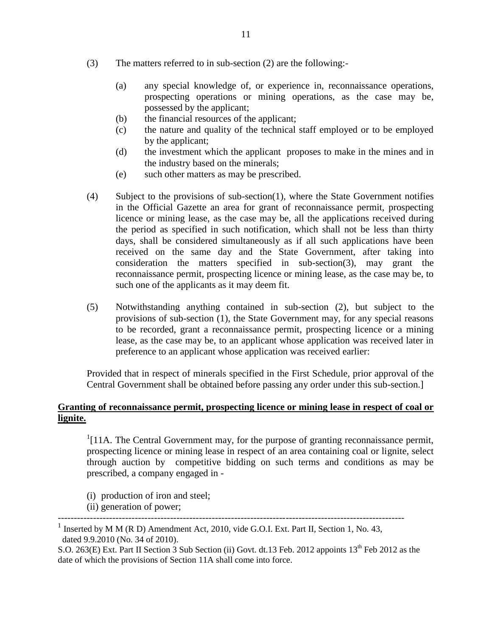- (3) The matters referred to in sub-section (2) are the following:-
	- (a) any special knowledge of, or experience in, reconnaissance operations, prospecting operations or mining operations, as the case may be, possessed by the applicant;
	- (b) the financial resources of the applicant;
	- (c) the nature and quality of the technical staff employed or to be employed by the applicant;
	- (d) the investment which the applicant proposes to make in the mines and in the industry based on the minerals;
	- (e) such other matters as may be prescribed.
- (4) Subject to the provisions of sub-section(1), where the State Government notifies in the Official Gazette an area for grant of reconnaissance permit, prospecting licence or mining lease, as the case may be, all the applications received during the period as specified in such notification, which shall not be less than thirty days, shall be considered simultaneously as if all such applications have been received on the same day and the State Government, after taking into consideration the matters specified in sub-section(3), may grant the reconnaissance permit, prospecting licence or mining lease, as the case may be, to such one of the applicants as it may deem fit.
- (5) Notwithstanding anything contained in sub-section (2), but subject to the provisions of sub-section (1), the State Government may, for any special reasons to be recorded, grant a reconnaissance permit, prospecting licence or a mining lease, as the case may be, to an applicant whose application was received later in preference to an applicant whose application was received earlier:

Provided that in respect of minerals specified in the First Schedule, prior approval of the Central Government shall be obtained before passing any order under this sub-section.]

## **Granting of reconnaissance permit, prospecting licence or mining lease in respect of coal or lignite.**

 $1$ [11A. The Central Government may, for the purpose of granting reconnaissance permit, prospecting licence or mining lease in respect of an area containing coal or lignite, select through auction by competitive bidding on such terms and conditions as may be prescribed, a company engaged in -

- (i) production of iron and steel;
- (ii) generation of power;

------------------------------------------------------------------------------------------------------------ <sup>1</sup> Inserted by M M (R D) Amendment Act, 2010, vide G.O.I. Ext. Part II, Section 1, No. 43,

dated 9.9.2010 (No. 34 of 2010).

S.O. 263(E) Ext. Part II Section 3 Sub Section (ii) Govt. dt.13 Feb. 2012 appoints  $13<sup>th</sup>$  Feb 2012 as the date of which the provisions of Section 11A shall come into force.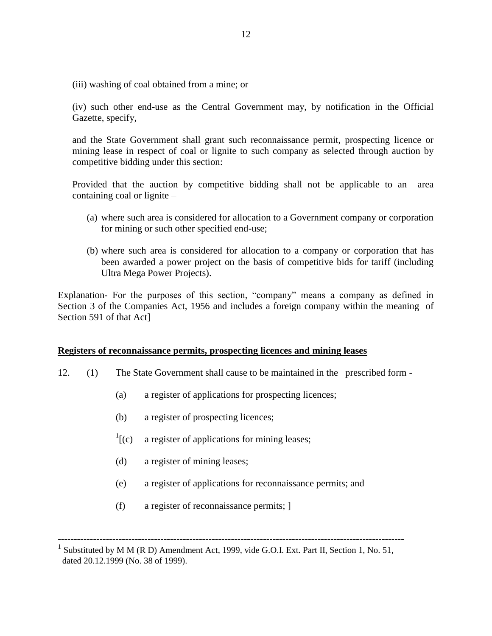(iii) washing of coal obtained from a mine; or

(iv) such other end-use as the Central Government may, by notification in the Official Gazette, specify,

and the State Government shall grant such reconnaissance permit, prospecting licence or mining lease in respect of coal or lignite to such company as selected through auction by competitive bidding under this section:

Provided that the auction by competitive bidding shall not be applicable to an area containing coal or lignite –

- (a) where such area is considered for allocation to a Government company or corporation for mining or such other specified end-use;
- (b) where such area is considered for allocation to a company or corporation that has been awarded a power project on the basis of competitive bids for tariff (including Ultra Mega Power Projects).

Explanation- For the purposes of this section, "company" means a company as defined in Section 3 of the Companies Act, 1956 and includes a foreign company within the meaning of Section 591 of that Act]

#### **Registers of reconnaissance permits, prospecting licences and mining leases**

- 12. (1) The State Government shall cause to be maintained in the prescribed form
	- (a) a register of applications for prospecting licences;
	- (b) a register of prospecting licences;
	- $\frac{1}{2}$ [(c) a register of applications for mining leases;
	- (d) a register of mining leases;
	- (e) a register of applications for reconnaissance permits; and
	- (f) a register of reconnaissance permits; ]

<sup>------------------------------------------------------------------------------------------------------------</sup>

<sup>1</sup> Substituted by M M (R D) Amendment Act, 1999, vide G.O.I. Ext. Part II, Section 1, No. 51, dated 20.12.1999 (No. 38 of 1999).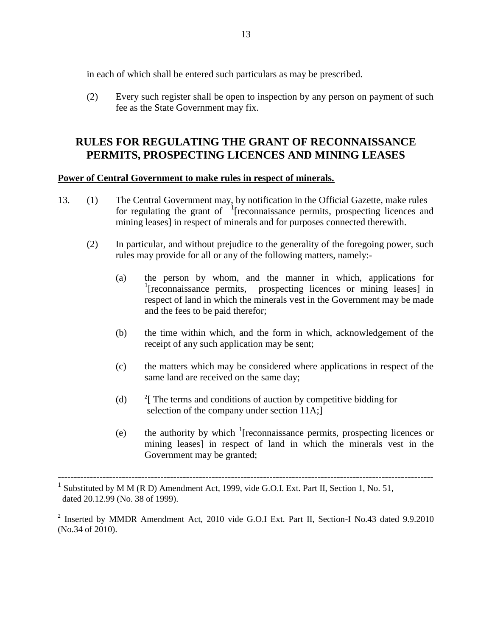in each of which shall be entered such particulars as may be prescribed.

(2) Every such register shall be open to inspection by any person on payment of such fee as the State Government may fix.

## **RULES FOR REGULATING THE GRANT OF RECONNAISSANCE PERMITS, PROSPECTING LICENCES AND MINING LEASES**

#### **Power of Central Government to make rules in respect of minerals.**

- 13. (1) The Central Government may, by notification in the Official Gazette, make rules for regulating the grant of <sup>1</sup>[reconnaissance permits, prospecting licences and mining leases] in respect of minerals and for purposes connected therewith.
	- (2) In particular, and without prejudice to the generality of the foregoing power, such rules may provide for all or any of the following matters, namely:-
		- (a) the person by whom, and the manner in which, applications for <sup>1</sup>[reconnaissance permits, prospecting licences or mining leases] in respect of land in which the minerals vest in the Government may be made and the fees to be paid therefor;
		- (b) the time within which, and the form in which, acknowledgement of the receipt of any such application may be sent;
		- (c) the matters which may be considered where applications in respect of the same land are received on the same day;
		- (d) <sup>2</sup>[ The terms and conditions of auction by competitive bidding for selection of the company under section 11A;
		- (e) the authority by which  $\frac{1}{2}$  [reconnaissance permits, prospecting licences or mining leases] in respect of land in which the minerals vest in the Government may be granted;

---------------------------------------------------------------------------------------------------------------------

1 Substituted by M M (R D) Amendment Act, 1999, vide G.O.I. Ext. Part II, Section 1, No. 51, dated 20.12.99 (No. 38 of 1999).

<sup>2</sup> Inserted by MMDR Amendment Act, 2010 vide G.O.I Ext. Part II, Section-I No.43 dated 9.9.2010 (No.34 of 2010).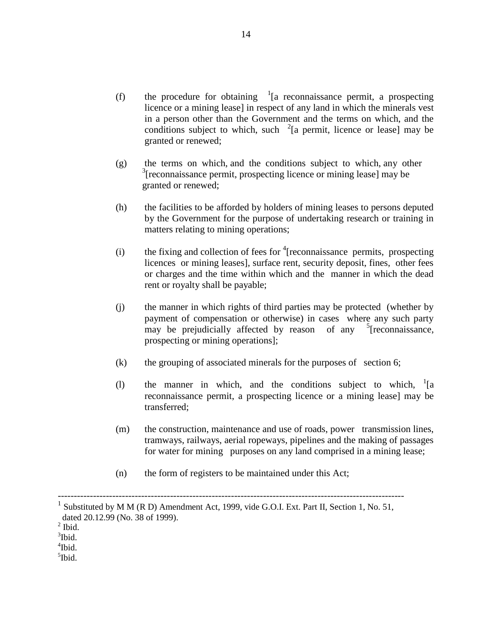- (f) the procedure for obtaining  $\frac{1}{a}$  reconnaissance permit, a prospecting licence or a mining lease] in respect of any land in which the minerals vest in a person other than the Government and the terms on which, and the conditions subject to which, such  $2$ [a permit, licence or lease] may be granted or renewed;
- (g) the terms on which, and the conditions subject to which, any other <sup>3</sup>[reconnaissance permit, prospecting licence or mining lease] may be granted or renewed;
- (h) the facilities to be afforded by holders of mining leases to persons deputed by the Government for the purpose of undertaking research or training in matters relating to mining operations;
- (i) the fixing and collection of fees for  $\frac{4}{7}$  [reconnaissance permits, prospecting licences or mining leases], surface rent, security deposit, fines, other fees or charges and the time within which and the manner in which the dead rent or royalty shall be payable;
- (j) the manner in which rights of third parties may be protected (whether by payment of compensation or otherwise) in cases where any such party may be prejudicially affected by reason of any <sup>5</sup>[reconnaissance, prospecting or mining operations];
- (k) the grouping of associated minerals for the purposes of section 6;
- (1) the manner in which, and the conditions subject to which,  $\frac{1}{a}$ reconnaissance permit, a prospecting licence or a mining lease] may be transferred;
- (m) the construction, maintenance and use of roads, power transmission lines, tramways, railways, aerial ropeways, pipelines and the making of passages for water for mining purposes on any land comprised in a mining lease;
- (n) the form of registers to be maintained under this Act;

------------------------------------------------------------------------------------------------------------

<sup>1</sup> Substituted by M M (R D) Amendment Act, 1999, vide G.O.I. Ext. Part II, Section 1, No. 51, dated 20.12.99 (No. 38 of 1999).

 $<sup>2</sup>$  Ibid.</sup>

 $3$ Ibid.

<sup>4</sup> Ibid.

<sup>5</sup> Ibid.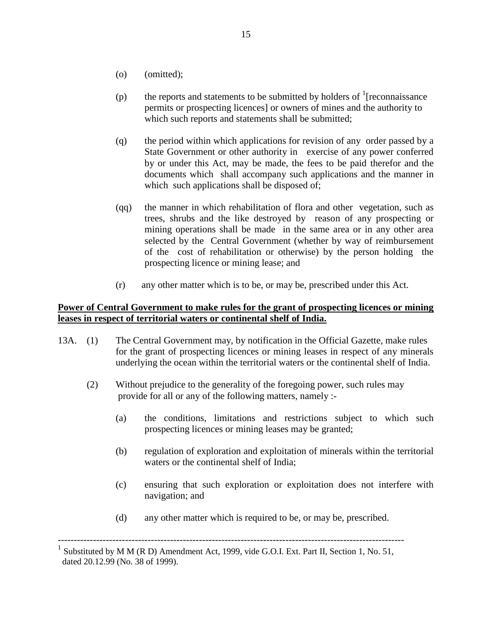- (o) (omitted);
- (p) the reports and statements to be submitted by holders of  $\frac{1}{1}$  [reconnaissance permits or prospecting licences] or owners of mines and the authority to which such reports and statements shall be submitted;
- (q) the period within which applications for revision of any order passed by a State Government or other authority in exercise of any power conferred by or under this Act, may be made, the fees to be paid therefor and the documents which shall accompany such applications and the manner in which such applications shall be disposed of;
- (qq) the manner in which rehabilitation of flora and other vegetation, such as trees, shrubs and the like destroyed by reason of any prospecting or mining operations shall be made in the same area or in any other area selected by the Central Government (whether by way of reimbursement of the cost of rehabilitation or otherwise) by the person holding the prospecting licence or mining lease; and
- (r) any other matter which is to be, or may be, prescribed under this Act.

## **Power of Central Government to make rules for the grant of prospecting licences or mining leases in respect of territorial waters or continental shelf of India.**

- 13A. (1) The Central Government may, by notification in the Official Gazette, make rules for the grant of prospecting licences or mining leases in respect of any minerals underlying the ocean within the territorial waters or the continental shelf of India.
	- (2) Without prejudice to the generality of the foregoing power, such rules may provide for all or any of the following matters, namely :-
		- (a) the conditions, limitations and restrictions subject to which such prospecting licences or mining leases may be granted;
		- (b) regulation of exploration and exploitation of minerals within the territorial waters or the continental shelf of India;
		- (c) ensuring that such exploration or exploitation does not interfere with navigation; and
		- (d) any other matter which is required to be, or may be, prescribed.

<sup>1</sup> Substituted by M M (R D) Amendment Act, 1999, vide G.O.I. Ext. Part II, Section 1, No. 51, dated 20.12.99 (No. 38 of 1999).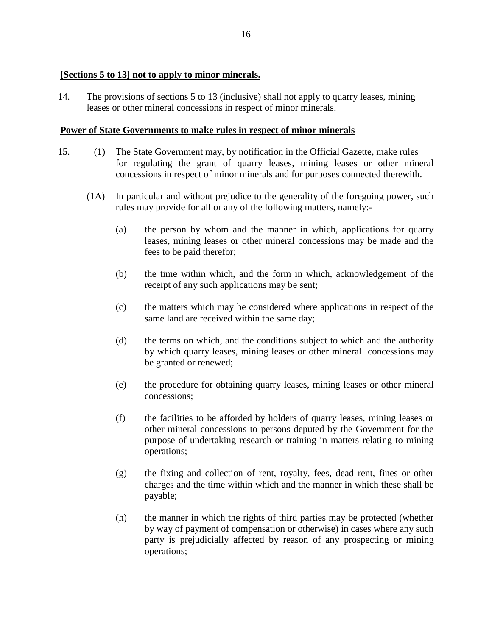## **[Sections 5 to 13] not to apply to minor minerals.**

14. The provisions of sections 5 to 13 (inclusive) shall not apply to quarry leases, mining leases or other mineral concessions in respect of minor minerals.

## **Power of State Governments to make rules in respect of minor minerals**

- 15. (1) The State Government may, by notification in the Official Gazette, make rules for regulating the grant of quarry leases, mining leases or other mineral concessions in respect of minor minerals and for purposes connected therewith.
	- (1A) In particular and without prejudice to the generality of the foregoing power, such rules may provide for all or any of the following matters, namely:-
		- (a) the person by whom and the manner in which, applications for quarry leases, mining leases or other mineral concessions may be made and the fees to be paid therefor;
		- (b) the time within which, and the form in which, acknowledgement of the receipt of any such applications may be sent;
		- (c) the matters which may be considered where applications in respect of the same land are received within the same day;
		- (d) the terms on which, and the conditions subject to which and the authority by which quarry leases, mining leases or other mineral concessions may be granted or renewed;
		- (e) the procedure for obtaining quarry leases, mining leases or other mineral concessions;
		- (f) the facilities to be afforded by holders of quarry leases, mining leases or other mineral concessions to persons deputed by the Government for the purpose of undertaking research or training in matters relating to mining operations;
		- (g) the fixing and collection of rent, royalty, fees, dead rent, fines or other charges and the time within which and the manner in which these shall be payable;
		- (h) the manner in which the rights of third parties may be protected (whether by way of payment of compensation or otherwise) in cases where any such party is prejudicially affected by reason of any prospecting or mining operations;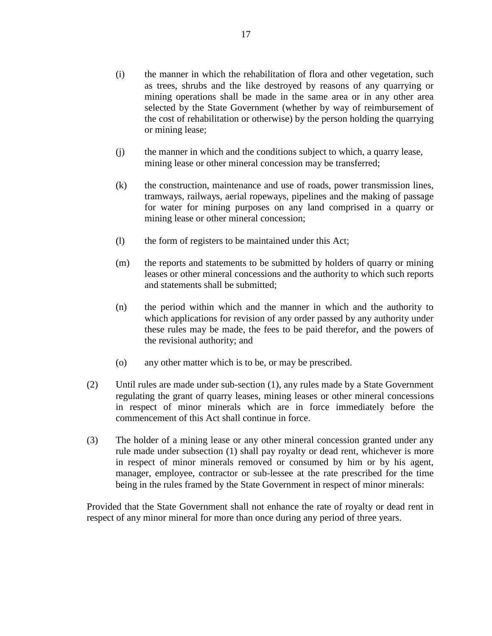- (i) the manner in which the rehabilitation of flora and other vegetation, such as trees, shrubs and the like destroyed by reasons of any quarrying or mining operations shall be made in the same area or in any other area selected by the State Government (whether by way of reimbursement of the cost of rehabilitation or otherwise) by the person holding the quarrying or mining lease;
- (j) the manner in which and the conditions subject to which, a quarry lease, mining lease or other mineral concession may be transferred;
- (k) the construction, maintenance and use of roads, power transmission lines, tramways, railways, aerial ropeways, pipelines and the making of passage for water for mining purposes on any land comprised in a quarry or mining lease or other mineral concession;
- (l) the form of registers to be maintained under this Act;
- (m) the reports and statements to be submitted by holders of quarry or mining leases or other mineral concessions and the authority to which such reports and statements shall be submitted;
- (n) the period within which and the manner in which and the authority to which applications for revision of any order passed by any authority under these rules may be made, the fees to be paid therefor, and the powers of the revisional authority; and
- (o) any other matter which is to be, or may be prescribed.
- (2) Until rules are made under sub-section (1), any rules made by a State Government regulating the grant of quarry leases, mining leases or other mineral concessions in respect of minor minerals which are in force immediately before the commencement of this Act shall continue in force.
- (3) The holder of a mining lease or any other mineral concession granted under any rule made under subsection (1) shall pay royalty or dead rent, whichever is more in respect of minor minerals removed or consumed by him or by his agent, manager, employee, contractor or sub-lessee at the rate prescribed for the time being in the rules framed by the State Government in respect of minor minerals:

Provided that the State Government shall not enhance the rate of royalty or dead rent in respect of any minor mineral for more than once during any period of three years.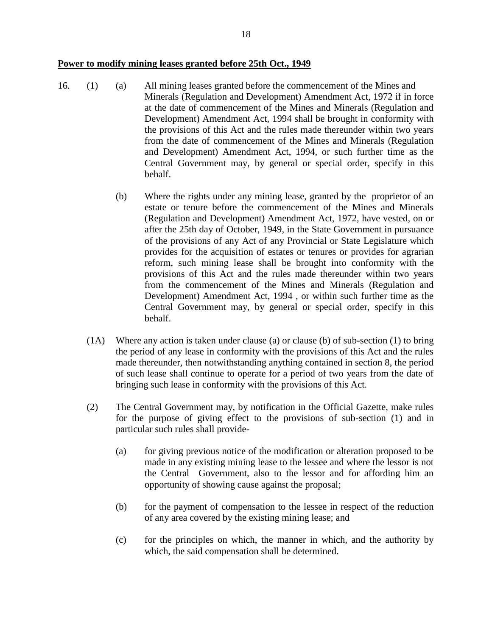#### **Power to modify mining leases granted before 25th Oct., 1949**

- 16. (1) (a) All mining leases granted before the commencement of the Mines and Minerals (Regulation and Development) Amendment Act, 1972 if in force at the date of commencement of the Mines and Minerals (Regulation and Development) Amendment Act, 1994 shall be brought in conformity with the provisions of this Act and the rules made thereunder within two years from the date of commencement of the Mines and Minerals (Regulation and Development) Amendment Act, 1994, or such further time as the Central Government may, by general or special order, specify in this behalf.
	- (b) Where the rights under any mining lease, granted by the proprietor of an estate or tenure before the commencement of the Mines and Minerals (Regulation and Development) Amendment Act, 1972, have vested, on or after the 25th day of October, 1949, in the State Government in pursuance of the provisions of any Act of any Provincial or State Legislature which provides for the acquisition of estates or tenures or provides for agrarian reform, such mining lease shall be brought into conformity with the provisions of this Act and the rules made thereunder within two years from the commencement of the Mines and Minerals (Regulation and Development) Amendment Act, 1994 , or within such further time as the Central Government may, by general or special order, specify in this behalf.
	- (1A) Where any action is taken under clause (a) or clause (b) of sub-section (1) to bring the period of any lease in conformity with the provisions of this Act and the rules made thereunder, then notwithstanding anything contained in section 8, the period of such lease shall continue to operate for a period of two years from the date of bringing such lease in conformity with the provisions of this Act.
	- (2) The Central Government may, by notification in the Official Gazette, make rules for the purpose of giving effect to the provisions of sub-section (1) and in particular such rules shall provide-
		- (a) for giving previous notice of the modification or alteration proposed to be made in any existing mining lease to the lessee and where the lessor is not the Central Government, also to the lessor and for affording him an opportunity of showing cause against the proposal;
		- (b) for the payment of compensation to the lessee in respect of the reduction of any area covered by the existing mining lease; and
		- (c) for the principles on which, the manner in which, and the authority by which, the said compensation shall be determined.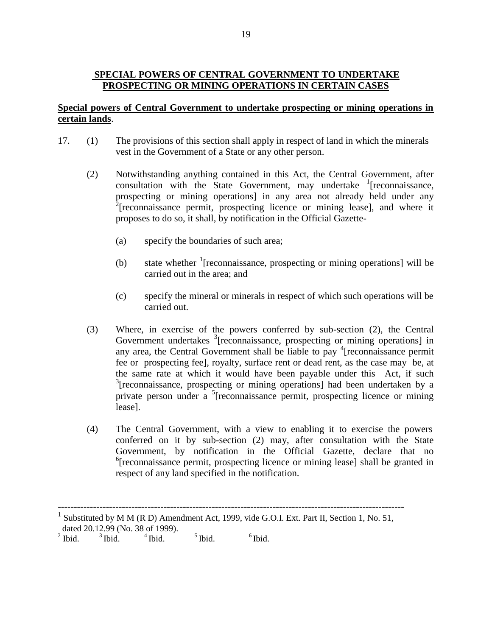## **SPECIAL POWERS OF CENTRAL GOVERNMENT TO UNDERTAKE PROSPECTING OR MINING OPERATIONS IN CERTAIN CASES**

## **Special powers of Central Government to undertake prospecting or mining operations in certain lands**.

- 17. (1) The provisions of this section shall apply in respect of land in which the minerals vest in the Government of a State or any other person.
	- (2) Notwithstanding anything contained in this Act, the Central Government, after  $\frac{1}{2}$  consultation with the State Government, may undertake <sup>1</sup>[reconnaissance, prospecting or mining operations] in any area not already held under any  $2$ [reconnaissance permit, prospecting licence or mining lease], and where it proposes to do so, it shall, by notification in the Official Gazette-
		- (a) specify the boundaries of such area;
		- (b) state whether  $\frac{1}{2}$  [reconnaissance, prospecting or mining operations] will be carried out in the area; and
		- (c) specify the mineral or minerals in respect of which such operations will be carried out.
	- (3) Where, in exercise of the powers conferred by sub-section (2), the Central Government undertakes <sup>3</sup>[reconnaissance, prospecting or mining operations] in any area, the Central Government shall be liable to pay <sup>4</sup>[reconnaissance permit fee or prospecting fee], royalty, surface rent or dead rent, as the case may be, at the same rate at which it would have been payable under this Act, if such  $3$ [reconnaissance, prospecting or mining operations] had been undertaken by a private person under a <sup>5</sup>[reconnaissance permit, prospecting licence or mining lease].
	- (4) The Central Government, with a view to enabling it to exercise the powers conferred on it by sub-section (2) may, after consultation with the State Government, by notification in the Official Gazette, declare that no <sup>6</sup>[reconnaissance permit, prospecting licence or mining lease] shall be granted in respect of any land specified in the notification.

<sup>------------------------------------------------------------------------------------------------------------</sup> 1 Substituted by M M (R D) Amendment Act, 1999, vide G.O.I. Ext. Part II, Section 1, No. 51,

dated 20.12.99 (No. 38 of 1999).<br>Ibid.  $3^3$  Ibid.  $4^4$  Ibid.

 $2$  Ibid.  $3$  Ibid.  $4$  Ibid.  $5$  Ibid.  $6$  Ibid.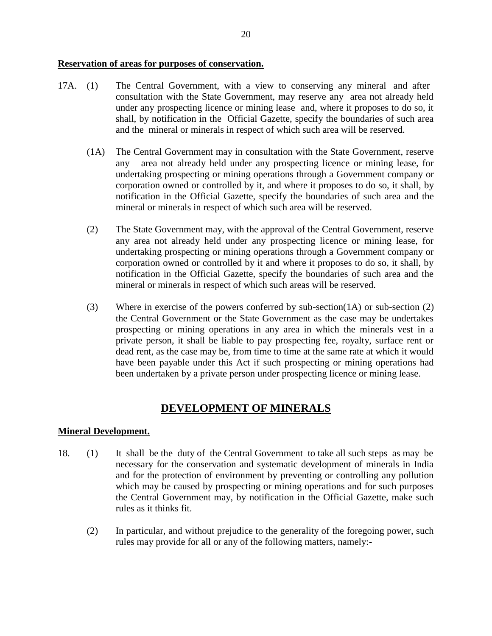#### **Reservation of areas for purposes of conservation.**

- 17A. (1) The Central Government, with a view to conserving any mineral and after consultation with the State Government, may reserve any area not already held under any prospecting licence or mining lease and, where it proposes to do so, it shall, by notification in the Official Gazette, specify the boundaries of such area and the mineral or minerals in respect of which such area will be reserved.
	- (1A) The Central Government may in consultation with the State Government, reserve any area not already held under any prospecting licence or mining lease, for undertaking prospecting or mining operations through a Government company or corporation owned or controlled by it, and where it proposes to do so, it shall, by notification in the Official Gazette, specify the boundaries of such area and the mineral or minerals in respect of which such area will be reserved.
	- (2) The State Government may, with the approval of the Central Government, reserve any area not already held under any prospecting licence or mining lease, for undertaking prospecting or mining operations through a Government company or corporation owned or controlled by it and where it proposes to do so, it shall, by notification in the Official Gazette, specify the boundaries of such area and the mineral or minerals in respect of which such areas will be reserved.
	- (3) Where in exercise of the powers conferred by sub-section(1A) or sub-section (2) the Central Government or the State Government as the case may be undertakes prospecting or mining operations in any area in which the minerals vest in a private person, it shall be liable to pay prospecting fee, royalty, surface rent or dead rent, as the case may be, from time to time at the same rate at which it would have been payable under this Act if such prospecting or mining operations had been undertaken by a private person under prospecting licence or mining lease.

# **DEVELOPMENT OF MINERALS**

## **Mineral Development.**

- 18. (1) It shall be the duty of the Central Government to take all such steps as may be necessary for the conservation and systematic development of minerals in India and for the protection of environment by preventing or controlling any pollution which may be caused by prospecting or mining operations and for such purposes the Central Government may, by notification in the Official Gazette, make such rules as it thinks fit.
	- (2) In particular, and without prejudice to the generality of the foregoing power, such rules may provide for all or any of the following matters, namely:-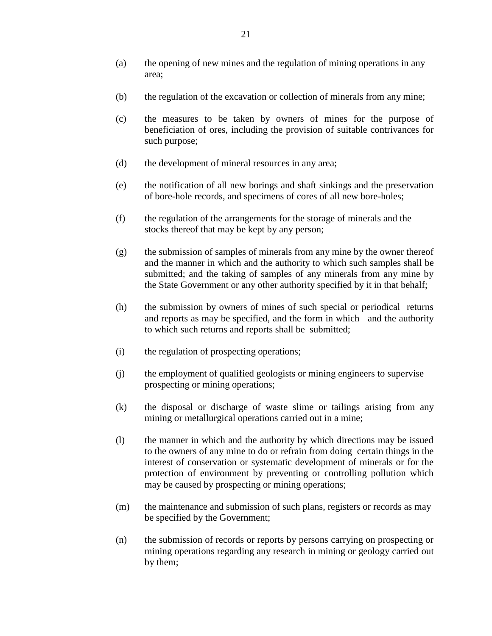- (a) the opening of new mines and the regulation of mining operations in any area;
- (b) the regulation of the excavation or collection of minerals from any mine;
- (c) the measures to be taken by owners of mines for the purpose of beneficiation of ores, including the provision of suitable contrivances for such purpose;
- (d) the development of mineral resources in any area;
- (e) the notification of all new borings and shaft sinkings and the preservation of bore-hole records, and specimens of cores of all new bore-holes;
- (f) the regulation of the arrangements for the storage of minerals and the stocks thereof that may be kept by any person;
- (g) the submission of samples of minerals from any mine by the owner thereof and the manner in which and the authority to which such samples shall be submitted; and the taking of samples of any minerals from any mine by the State Government or any other authority specified by it in that behalf;
- (h) the submission by owners of mines of such special or periodical returns and reports as may be specified, and the form in which and the authority to which such returns and reports shall be submitted;
- (i) the regulation of prospecting operations;
- (j) the employment of qualified geologists or mining engineers to supervise prospecting or mining operations;
- (k) the disposal or discharge of waste slime or tailings arising from any mining or metallurgical operations carried out in a mine;
- (l) the manner in which and the authority by which directions may be issued to the owners of any mine to do or refrain from doing certain things in the interest of conservation or systematic development of minerals or for the protection of environment by preventing or controlling pollution which may be caused by prospecting or mining operations;
- (m) the maintenance and submission of such plans, registers or records as may be specified by the Government;
- (n) the submission of records or reports by persons carrying on prospecting or mining operations regarding any research in mining or geology carried out by them;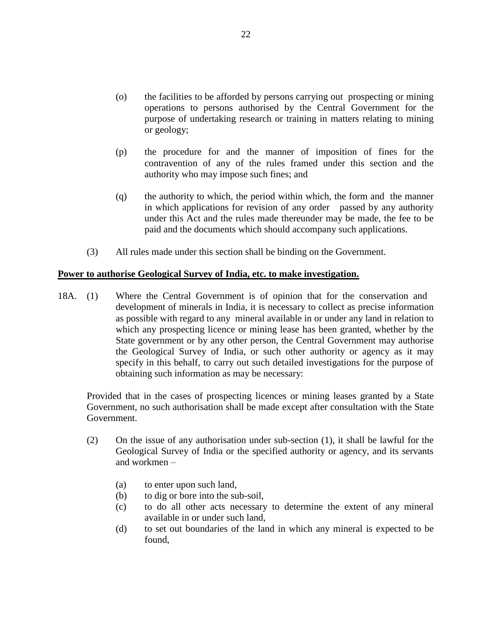- (o) the facilities to be afforded by persons carrying out prospecting or mining operations to persons authorised by the Central Government for the purpose of undertaking research or training in matters relating to mining or geology;
- (p) the procedure for and the manner of imposition of fines for the contravention of any of the rules framed under this section and the authority who may impose such fines; and
- (q) the authority to which, the period within which, the form and the manner in which applications for revision of any order passed by any authority under this Act and the rules made thereunder may be made, the fee to be paid and the documents which should accompany such applications.
- (3) All rules made under this section shall be binding on the Government.

## **Power to authorise Geological Survey of India, etc. to make investigation.**

18A. (1) Where the Central Government is of opinion that for the conservation and development of minerals in India, it is necessary to collect as precise information as possible with regard to any mineral available in or under any land in relation to which any prospecting licence or mining lease has been granted, whether by the State government or by any other person, the Central Government may authorise the Geological Survey of India, or such other authority or agency as it may specify in this behalf, to carry out such detailed investigations for the purpose of obtaining such information as may be necessary:

Provided that in the cases of prospecting licences or mining leases granted by a State Government, no such authorisation shall be made except after consultation with the State Government.

- (2) On the issue of any authorisation under sub-section (1), it shall be lawful for the Geological Survey of India or the specified authority or agency, and its servants and workmen –
	- (a) to enter upon such land,
	- (b) to dig or bore into the sub-soil,
	- (c) to do all other acts necessary to determine the extent of any mineral available in or under such land,
	- (d) to set out boundaries of the land in which any mineral is expected to be found,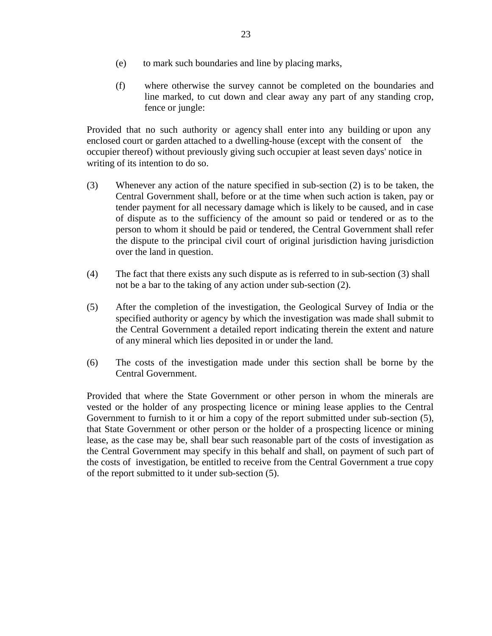- (e) to mark such boundaries and line by placing marks,
- (f) where otherwise the survey cannot be completed on the boundaries and line marked, to cut down and clear away any part of any standing crop, fence or jungle:

 Provided that no such authority or agency shall enter into any building or upon any enclosed court or garden attached to a dwelling-house (except with the consent of the occupier thereof) without previously giving such occupier at least seven days' notice in writing of its intention to do so.

- (3) Whenever any action of the nature specified in sub-section (2) is to be taken, the Central Government shall, before or at the time when such action is taken, pay or tender payment for all necessary damage which is likely to be caused, and in case of dispute as to the sufficiency of the amount so paid or tendered or as to the person to whom it should be paid or tendered, the Central Government shall refer the dispute to the principal civil court of original jurisdiction having jurisdiction over the land in question.
- (4) The fact that there exists any such dispute as is referred to in sub-section (3) shall not be a bar to the taking of any action under sub-section (2).
- (5) After the completion of the investigation, the Geological Survey of India or the specified authority or agency by which the investigation was made shall submit to the Central Government a detailed report indicating therein the extent and nature of any mineral which lies deposited in or under the land.
- (6) The costs of the investigation made under this section shall be borne by the Central Government.

Provided that where the State Government or other person in whom the minerals are vested or the holder of any prospecting licence or mining lease applies to the Central Government to furnish to it or him a copy of the report submitted under sub-section (5), that State Government or other person or the holder of a prospecting licence or mining lease, as the case may be, shall bear such reasonable part of the costs of investigation as the Central Government may specify in this behalf and shall, on payment of such part of the costs of investigation, be entitled to receive from the Central Government a true copy of the report submitted to it under sub-section (5).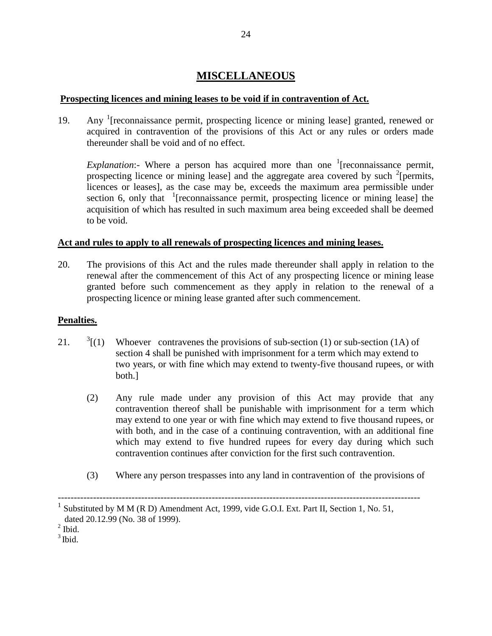## **MISCELLANEOUS**

## **Prospecting licences and mining leases to be void if in contravention of Act.**

19. Any <sup>1</sup> [reconnaissance permit, prospecting licence or mining lease] granted, renewed or acquired in contravention of the provisions of this Act or any rules or orders made thereunder shall be void and of no effect.

*Explanation*:- Where a person has acquired more than one  $\frac{1}{1}$  [reconnaissance permit, prospecting licence or mining lease] and the aggregate area covered by such <sup>2</sup>[permits, licences or leases], as the case may be, exceeds the maximum area permissible under section 6, only that  $\frac{1}{1}$  [reconnaissance permit, prospecting licence or mining lease] the acquisition of which has resulted in such maximum area being exceeded shall be deemed to be void.

## **Act and rules to apply to all renewals of prospecting licences and mining leases.**

20. The provisions of this Act and the rules made thereunder shall apply in relation to the renewal after the commencement of this Act of any prospecting licence or mining lease granted before such commencement as they apply in relation to the renewal of a prospecting licence or mining lease granted after such commencement.

## **Penalties.**

- 21.  $3[(1)]$ Whoever contravenes the provisions of sub-section (1) or sub-section (1A) of section 4 shall be punished with imprisonment for a term which may extend to two years, or with fine which may extend to twenty-five thousand rupees, or with both.]
	- (2) Any rule made under any provision of this Act may provide that any contravention thereof shall be punishable with imprisonment for a term which may extend to one year or with fine which may extend to five thousand rupees, or with both, and in the case of a continuing contravention, with an additional fine which may extend to five hundred rupees for every day during which such contravention continues after conviction for the first such contravention.
	- (3) Where any person trespasses into any land in contravention of the provisions of

-----------------------------------------------------------------------------------------------------------------

<sup>1</sup> Substituted by M M (R D) Amendment Act, 1999, vide G.O.I. Ext. Part II, Section 1, No. 51, dated 20.12.99 (No. 38 of 1999).

 $<sup>2</sup>$  Ibid.</sup>

 $3$  Ibid.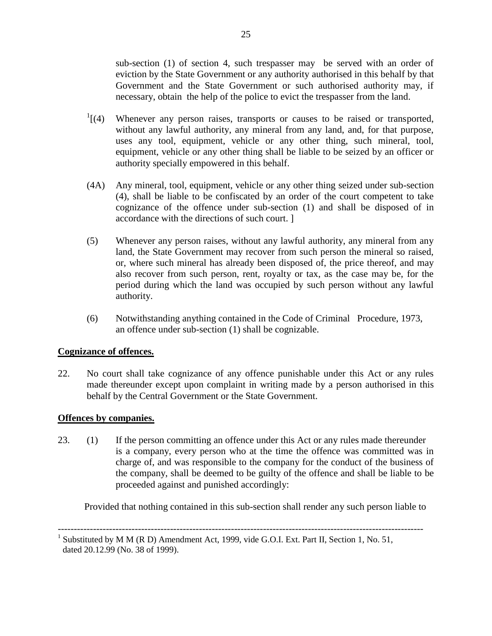sub-section (1) of section 4, such trespasser may be served with an order of eviction by the State Government or any authority authorised in this behalf by that Government and the State Government or such authorised authority may, if necessary, obtain the help of the police to evict the trespasser from the land.

- $\frac{1}{(4)}$ Whenever any person raises, transports or causes to be raised or transported, without any lawful authority, any mineral from any land, and, for that purpose, uses any tool, equipment, vehicle or any other thing, such mineral, tool, equipment, vehicle or any other thing shall be liable to be seized by an officer or authority specially empowered in this behalf.
- (4A) Any mineral, tool, equipment, vehicle or any other thing seized under sub-section (4), shall be liable to be confiscated by an order of the court competent to take cognizance of the offence under sub-section (1) and shall be disposed of in accordance with the directions of such court. ]
- (5) Whenever any person raises, without any lawful authority, any mineral from any land, the State Government may recover from such person the mineral so raised, or, where such mineral has already been disposed of, the price thereof, and may also recover from such person, rent, royalty or tax, as the case may be, for the period during which the land was occupied by such person without any lawful authority.
- (6) Notwithstanding anything contained in the Code of Criminal Procedure, 1973, an offence under sub-section (1) shall be cognizable.

## **Cognizance of offences.**

22. No court shall take cognizance of any offence punishable under this Act or any rules made thereunder except upon complaint in writing made by a person authorised in this behalf by the Central Government or the State Government.

## **Offences by companies.**

23. (1) If the person committing an offence under this Act or any rules made thereunder is a company, every person who at the time the offence was committed was in charge of, and was responsible to the company for the conduct of the business of the company, shall be deemed to be guilty of the offence and shall be liable to be proceeded against and punished accordingly:

Provided that nothing contained in this sub-section shall render any such person liable to

------------------------------------------------------------------------------------------------------------------

<sup>1</sup> Substituted by M M (R D) Amendment Act, 1999, vide G.O.I. Ext. Part II, Section 1, No. 51, dated 20.12.99 (No. 38 of 1999).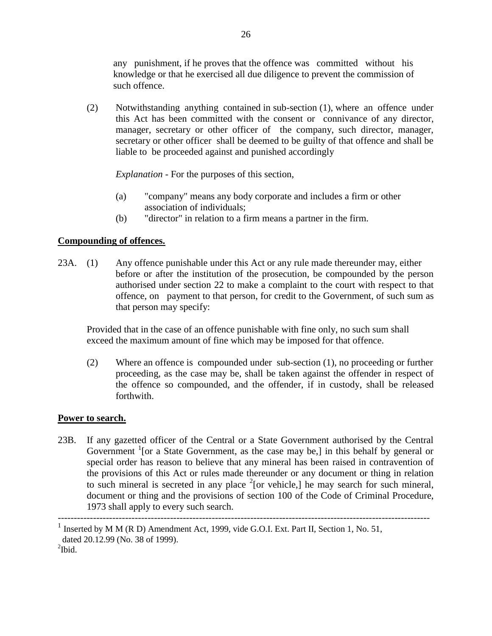any punishment, if he proves that the offence was committed without his knowledge or that he exercised all due diligence to prevent the commission of such offence.

(2) Notwithstanding anything contained in sub-section (1), where an offence under this Act has been committed with the consent or connivance of any director, manager, secretary or other officer of the company, such director, manager, secretary or other officer shall be deemed to be guilty of that offence and shall be liable to be proceeded against and punished accordingly

 *Explanation* - For the purposes of this section,

- (a) "company" means any body corporate and includes a firm or other association of individuals;
- (b) "director" in relation to a firm means a partner in the firm.

## **Compounding of offences.**

23A. (1) Any offence punishable under this Act or any rule made thereunder may, either before or after the institution of the prosecution, be compounded by the person authorised under section 22 to make a complaint to the court with respect to that offence, on payment to that person, for credit to the Government, of such sum as that person may specify:

Provided that in the case of an offence punishable with fine only, no such sum shall exceed the maximum amount of fine which may be imposed for that offence.

(2) Where an offence is compounded under sub-section (1), no proceeding or further proceeding, as the case may be, shall be taken against the offender in respect of the offence so compounded, and the offender, if in custody, shall be released forthwith.

## **Power to search.**

23B. If any gazetted officer of the Central or a State Government authorised by the Central Government <sup>1</sup> [or a State Government, as the case may be,] in this behalf by general or special order has reason to believe that any mineral has been raised in contravention of the provisions of this Act or rules made thereunder or any document or thing in relation to such mineral is secreted in any place  $2$  [or vehicle,] he may search for such mineral, document or thing and the provisions of section 100 of the Code of Criminal Procedure, 1973 shall apply to every such search.

<sup>--------------------------------------------------------------------------------------------------------------------</sup> <sup>1</sup> Inserted by M M (R D) Amendment Act, 1999, vide G.O.I. Ext. Part II, Section 1, No. 51, dated 20.12.99 (No. 38 of 1999).  $\mathrm{^{2}Ibid.}$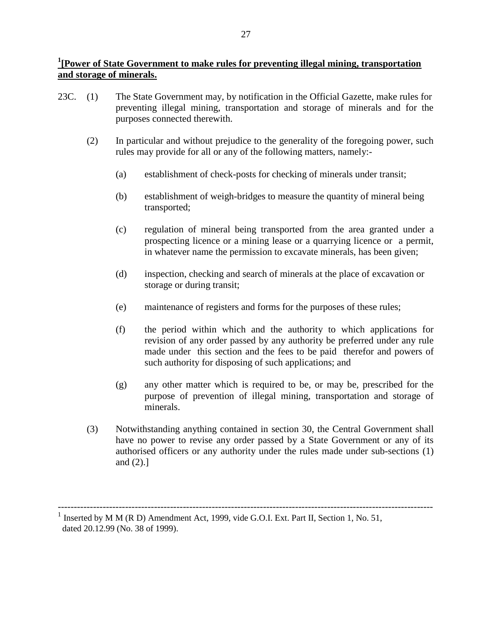## <sup>1</sup>[Power of State Government to make rules for preventing illegal mining, transportation **and storage of minerals.**

- 23C. (1) The State Government may, by notification in the Official Gazette, make rules for preventing illegal mining, transportation and storage of minerals and for the purposes connected therewith.
	- (2) In particular and without prejudice to the generality of the foregoing power, such rules may provide for all or any of the following matters, namely:-
		- (a) establishment of check-posts for checking of minerals under transit;
		- (b) establishment of weigh-bridges to measure the quantity of mineral being transported;
		- (c) regulation of mineral being transported from the area granted under a prospecting licence or a mining lease or a quarrying licence or a permit, in whatever name the permission to excavate minerals, has been given;
		- (d) inspection, checking and search of minerals at the place of excavation or storage or during transit;
		- (e) maintenance of registers and forms for the purposes of these rules;
		- (f) the period within which and the authority to which applications for revision of any order passed by any authority be preferred under any rule made under this section and the fees to be paid therefor and powers of such authority for disposing of such applications; and
		- (g) any other matter which is required to be, or may be, prescribed for the purpose of prevention of illegal mining, transportation and storage of minerals.
	- (3) Notwithstanding anything contained in section 30, the Central Government shall have no power to revise any order passed by a State Government or any of its authorised officers or any authority under the rules made under sub-sections (1) and (2).]

---------------------------------------------------------------------------------------------------------------------

<sup>&</sup>lt;sup>1</sup> Inserted by M M (R D) Amendment Act, 1999, vide G.O.I. Ext. Part II, Section 1, No. 51, dated 20.12.99 (No. 38 of 1999).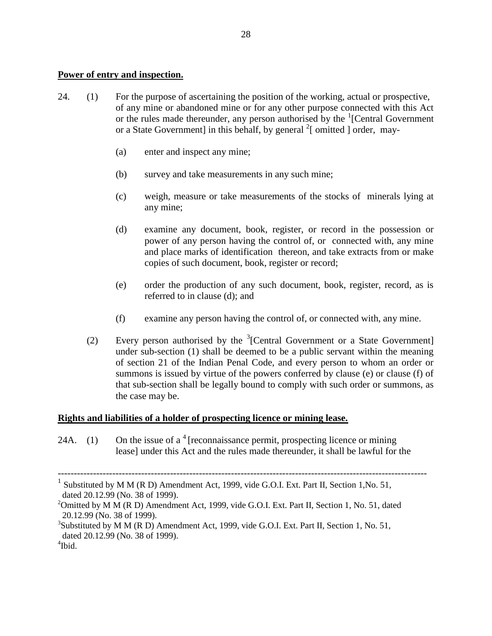## **Power of entry and inspection.**

- 24. (1) For the purpose of ascertaining the position of the working, actual or prospective, of any mine or abandoned mine or for any other purpose connected with this Act or the rules made thereunder, any person authorised by the  $\frac{1}{2}$ [Central Government] or a State Government] in this behalf, by general  $2 \times 2$  omitted ] order, may-
	- (a) enter and inspect any mine;
	- (b) survey and take measurements in any such mine;
	- (c) weigh, measure or take measurements of the stocks of minerals lying at any mine;
	- (d) examine any document, book, register, or record in the possession or power of any person having the control of, or connected with, any mine and place marks of identification thereon, and take extracts from or make copies of such document, book, register or record;
	- (e) order the production of any such document, book, register, record, as is referred to in clause (d); and
	- (f) examine any person having the control of, or connected with, any mine.
	- (2) Every person authorised by the  ${}^{3}$ [Central Government or a State Government] under sub-section (1) shall be deemed to be a public servant within the meaning of section 21 of the Indian Penal Code, and every person to whom an order or summons is issued by virtue of the powers conferred by clause (e) or clause (f) of that sub-section shall be legally bound to comply with such order or summons, as the case may be.

#### **Rights and liabilities of a holder of prospecting licence or mining lease.**

24A. (1) On the issue of a  $4$  [reconnaissance permit, prospecting licence or mining lease] under this Act and the rules made thereunder, it shall be lawful for the

-------------------------------------------------------------------------------------------------------------------

<sup>1</sup> Substituted by M M (R D) Amendment Act, 1999, vide G.O.I. Ext. Part II, Section 1,No. 51, dated 20.12.99 (No. 38 of 1999).

<sup>&</sup>lt;sup>2</sup>Omitted by M M (R D) Amendment Act, 1999, vide G.O.I. Ext. Part II, Section 1, No. 51, dated 20.12.99 (No. 38 of 1999).

 $3$ Substituted by M M (R D) Amendment Act, 1999, vide G.O.I. Ext. Part II, Section 1, No. 51, dated 20.12.99 (No. 38 of 1999).

<sup>4</sup> Ibid.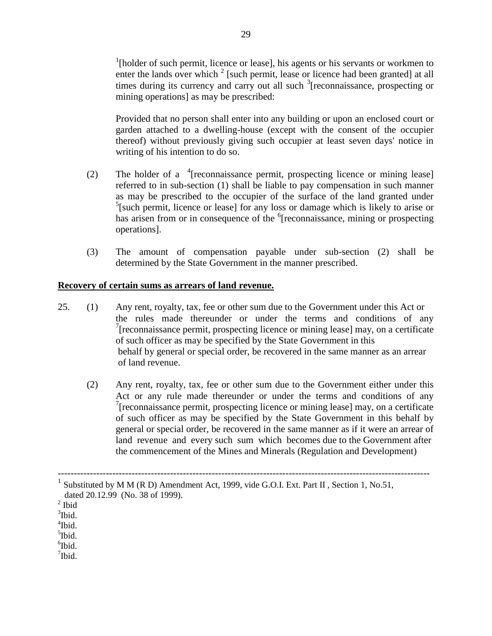<sup>1</sup>[holder of such permit, licence or lease], his agents or his servants or workmen to enter the lands over which  $2$  [such permit, lease or licence had been granted] at all times during its currency and carry out all such <sup>3</sup>[reconnaissance, prospecting or mining operations] as may be prescribed:

Provided that no person shall enter into any building or upon an enclosed court or garden attached to a dwelling-house (except with the consent of the occupier thereof) without previously giving such occupier at least seven days' notice in writing of his intention to do so.

- (2) The holder of a  $\frac{4}{7}$  [reconnaissance permit, prospecting licence or mining lease] referred to in sub-section (1) shall be liable to pay compensation in such manner as may be prescribed to the occupier of the surface of the land granted under <sup>5</sup>[such permit, licence or lease] for any loss or damage which is likely to arise or has arisen from or in consequence of the <sup>6</sup>[reconnaissance, mining or prospecting operations].
- (3) The amount of compensation payable under sub-section (2) shall be determined by the State Government in the manner prescribed.

## **Recovery of certain sums as arrears of land revenue.**

- 25. (1) Any rent, royalty, tax, fee or other sum due to the Government under this Act or the rules made thereunder or under the terms and conditions of any  $\sigma$ [reconnaissance permit, prospecting licence or mining lease] may, on a certificate of such officer as may be specified by the State Government in this behalf by general or special order, be recovered in the same manner as an arrear of land revenue.
	- (2) Any rent, royalty, tax, fee or other sum due to the Government either under this Act or any rule made thereunder or under the terms and conditions of any <sup>7</sup>[reconnaissance permit, prospecting licence or mining lease] may, on a certificate of such officer as may be specified by the State Government in this behalf by general or special order, be recovered in the same manner as if it were an arrear of land revenue and every such sum which becomes due to the Government after the commencement of the Mines and Minerals (Regulation and Development)

--------------------------------------------------------------------------------------------------------------------

 $7$ Ibid.

<sup>1</sup> Substituted by M M (R D) Amendment Act, 1999, vide G.O.I. Ext. Part II , Section 1, No.51, dated 20.12.99 (No. 38 of 1999).

 $<sup>2</sup>$  Ibid</sup>

 $3$ Ibid.

<sup>4</sup> Ibid.

<sup>&</sup>lt;sup>5</sup>Ibid.

<sup>6</sup> Ibid.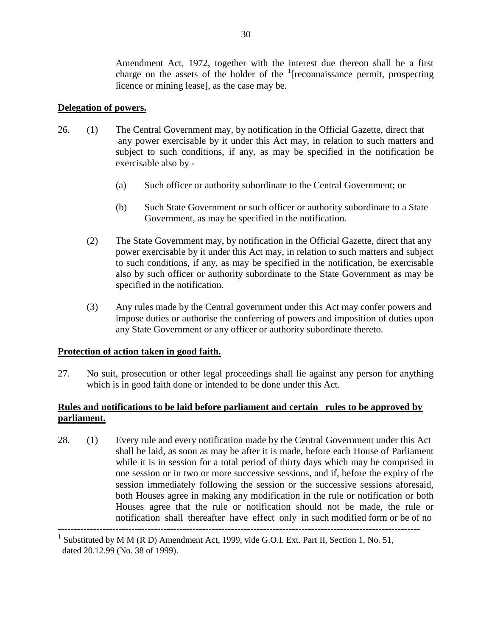Amendment Act, 1972, together with the interest due thereon shall be a first charge on the assets of the holder of the  $($  [reconnaissance permit, prospecting licence or mining lease], as the case may be.

## **Delegation of powers.**

- 26. (1) The Central Government may, by notification in the Official Gazette, direct that any power exercisable by it under this Act may, in relation to such matters and subject to such conditions, if any, as may be specified in the notification be exercisable also by -
	- (a) Such officer or authority subordinate to the Central Government; or
	- (b) Such State Government or such officer or authority subordinate to a State Government, as may be specified in the notification.
	- (2) The State Government may, by notification in the Official Gazette, direct that any power exercisable by it under this Act may, in relation to such matters and subject to such conditions, if any, as may be specified in the notification, be exercisable also by such officer or authority subordinate to the State Government as may be specified in the notification.
	- (3) Any rules made by the Central government under this Act may confer powers and impose duties or authorise the conferring of powers and imposition of duties upon any State Government or any officer or authority subordinate thereto.

## **Protection of action taken in good faith.**

27. No suit, prosecution or other legal proceedings shall lie against any person for anything which is in good faith done or intended to be done under this Act.

## **Rules and notifications to be laid before parliament and certain rules to be approved by parliament.**

28. (1) Every rule and every notification made by the Central Government under this Act shall be laid, as soon as may be after it is made, before each House of Parliament while it is in session for a total period of thirty days which may be comprised in one session or in two or more successive sessions, and if, before the expiry of the session immediately following the session or the successive sessions aforesaid, both Houses agree in making any modification in the rule or notification or both Houses agree that the rule or notification should not be made, the rule or notification shall thereafter have effect only in such modified form or be of no -----------------------------------------------------------------------------------------------------------------

<sup>1</sup> Substituted by M M (R D) Amendment Act, 1999, vide G.O.I. Ext. Part II, Section 1, No. 51, dated 20.12.99 (No. 38 of 1999).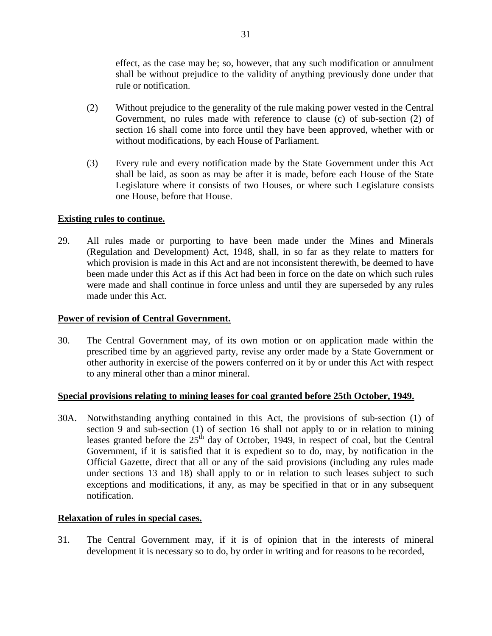effect, as the case may be; so, however, that any such modification or annulment shall be without prejudice to the validity of anything previously done under that rule or notification.

- (2) Without prejudice to the generality of the rule making power vested in the Central Government, no rules made with reference to clause (c) of sub-section (2) of section 16 shall come into force until they have been approved, whether with or without modifications, by each House of Parliament.
- (3) Every rule and every notification made by the State Government under this Act shall be laid, as soon as may be after it is made, before each House of the State Legislature where it consists of two Houses, or where such Legislature consists one House, before that House.

## **Existing rules to continue.**

29. All rules made or purporting to have been made under the Mines and Minerals (Regulation and Development) Act, 1948, shall, in so far as they relate to matters for which provision is made in this Act and are not inconsistent therewith, be deemed to have been made under this Act as if this Act had been in force on the date on which such rules were made and shall continue in force unless and until they are superseded by any rules made under this Act.

## **Power of revision of Central Government.**

30. The Central Government may, of its own motion or on application made within the prescribed time by an aggrieved party, revise any order made by a State Government or other authority in exercise of the powers conferred on it by or under this Act with respect to any mineral other than a minor mineral.

## **Special provisions relating to mining leases for coal granted before 25th October, 1949.**

30A. Notwithstanding anything contained in this Act, the provisions of sub-section (1) of section 9 and sub-section (1) of section 16 shall not apply to or in relation to mining leases granted before the  $25<sup>th</sup>$  day of October, 1949, in respect of coal, but the Central Government, if it is satisfied that it is expedient so to do, may, by notification in the Official Gazette, direct that all or any of the said provisions (including any rules made under sections 13 and 18) shall apply to or in relation to such leases subject to such exceptions and modifications, if any, as may be specified in that or in any subsequent notification.

## **Relaxation of rules in special cases.**

31. The Central Government may, if it is of opinion that in the interests of mineral development it is necessary so to do, by order in writing and for reasons to be recorded,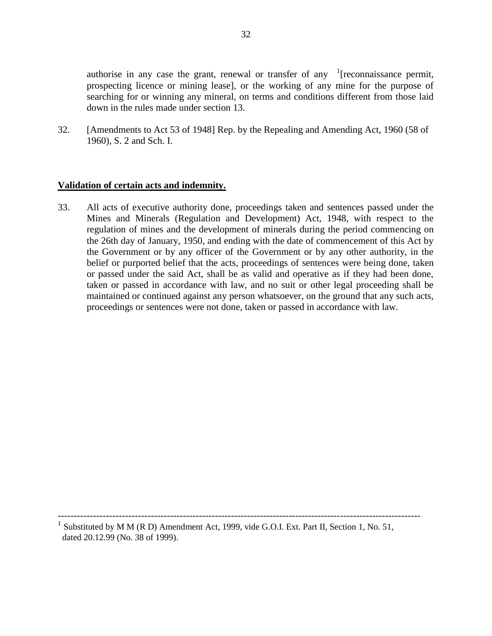authorise in any case the grant, renewal or transfer of any  $\frac{1}{1}$  [reconnaissance permit, prospecting licence or mining lease], or the working of any mine for the purpose of searching for or winning any mineral, on terms and conditions different from those laid down in the rules made under section 13.

32. [Amendments to Act 53 of 1948] Rep. by the Repealing and Amending Act, 1960 (58 of 1960), S. 2 and Sch. I.

#### **Validation of certain acts and indemnity.**

33. All acts of executive authority done, proceedings taken and sentences passed under the Mines and Minerals (Regulation and Development) Act, 1948, with respect to the regulation of mines and the development of minerals during the period commencing on the 26th day of January, 1950, and ending with the date of commencement of this Act by the Government or by any officer of the Government or by any other authority, in the belief or purported belief that the acts, proceedings of sentences were being done, taken or passed under the said Act, shall be as valid and operative as if they had been done, taken or passed in accordance with law, and no suit or other legal proceeding shall be maintained or continued against any person whatsoever, on the ground that any such acts, proceedings or sentences were not done, taken or passed in accordance with law.

-----------------------------------------------------------------------------------------------------------------

<sup>1</sup> Substituted by M M (R D) Amendment Act, 1999, vide G.O.I. Ext. Part II, Section 1, No. 51, dated 20.12.99 (No. 38 of 1999).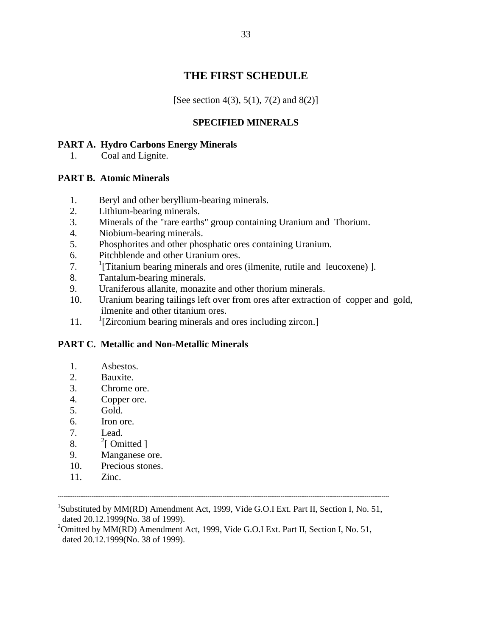## **THE FIRST SCHEDULE**

[See section 4(3), 5(1), 7(2) and 8(2)]

## **SPECIFIED MINERALS**

## **PART A. Hydro Carbons Energy Minerals**

1. Coal and Lignite.

## **PART B. Atomic Minerals**

- 1. Beryl and other beryllium-bearing minerals.
- 2. Lithium-bearing minerals.
- 3. Minerals of the "rare earths" group containing Uranium and Thorium.
- 4. Niobium-bearing minerals.
- 5. Phosphorites and other phosphatic ores containing Uranium.
- 6. Pitchblende and other Uranium ores.
- 7. <sup>1</sup> <sup>1</sup>[Titanium bearing minerals and ores (ilmenite, rutile and leucoxene) ].
- 8. Tantalum-bearing minerals.
- 9. Uraniferous allanite, monazite and other thorium minerals.
- 10. Uranium bearing tailings left over from ores after extraction of copper and gold, ilmenite and other titanium ores.
- 11.  $\frac{1}{2}$ [Zirconium bearing minerals and ores including zircon.]

## **PART C. Metallic and Non-Metallic Minerals**

- 1. Asbestos.
- 2. Bauxite.
- 3. Chrome ore.
- 4. Copper ore.
- 5. Gold.
- 6. Iron ore.
- 7. Lead.
- 8.  $\frac{2}{ }$ [ Omitted ]
- 9. Manganese ore.
- 10. Precious stones.
- 11. Zinc.

<sup>1</sup>Substituted by MM(RD) Amendment Act, 1999, Vide G.O.I Ext. Part II, Section I, No. 51, dated 20.12.1999(No. 38 of 1999).

**---------------------------------------------------------------------------------------------------------------------------------------------------------------------------------**

<sup>2</sup>Omitted by MM(RD) Amendment Act, 1999, Vide G.O.I Ext. Part II, Section I, No. 51, dated 20.12.1999(No. 38 of 1999).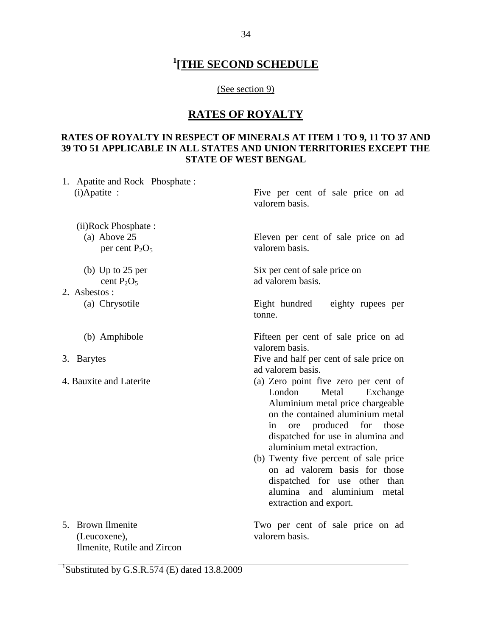# **1 [THE SECOND SCHEDULE**

## (See section 9)

## **RATES OF ROYALTY**

## **RATES OF ROYALTY IN RESPECT OF MINERALS AT ITEM 1 TO 9, 11 TO 37 AND 39 TO 51 APPLICABLE IN ALL STATES AND UNION TERRITORIES EXCEPT THE STATE OF WEST BENGAL**

| 1. Apatite and Rock Phosphate:                                   |                                                                                                                                                                                                                                                                                                                                                                                                                           |
|------------------------------------------------------------------|---------------------------------------------------------------------------------------------------------------------------------------------------------------------------------------------------------------------------------------------------------------------------------------------------------------------------------------------------------------------------------------------------------------------------|
| $(i)$ Apatite :                                                  | Five per cent of sale price on ad<br>valorem basis.                                                                                                                                                                                                                                                                                                                                                                       |
| (ii)Rock Phosphate:                                              |                                                                                                                                                                                                                                                                                                                                                                                                                           |
| (a) Above $25$<br>per cent $P_2O_5$                              | Eleven per cent of sale price on ad<br>valorem basis.                                                                                                                                                                                                                                                                                                                                                                     |
| (b) Up to $25$ per<br>cent $P_2O_5$                              | Six per cent of sale price on<br>ad valorem basis.                                                                                                                                                                                                                                                                                                                                                                        |
| 2. Asbestos:                                                     |                                                                                                                                                                                                                                                                                                                                                                                                                           |
| (a) Chrysotile                                                   | Eight hundred<br>eighty rupees per<br>tonne.                                                                                                                                                                                                                                                                                                                                                                              |
| (b) Amphibole                                                    | Fifteen per cent of sale price on ad<br>valorem basis.                                                                                                                                                                                                                                                                                                                                                                    |
| 3. Barytes                                                       | Five and half per cent of sale price on<br>ad valorem basis.                                                                                                                                                                                                                                                                                                                                                              |
| 4. Bauxite and Laterite                                          | (a) Zero point five zero per cent of<br>Metal<br>London<br>Exchange<br>Aluminium metal price chargeable<br>on the contained aluminium metal<br>produced for<br>those<br>in<br>ore<br>dispatched for use in alumina and<br>aluminium metal extraction.<br>(b) Twenty five percent of sale price<br>on ad valorem basis for those<br>dispatched for use other than<br>alumina and aluminium metal<br>extraction and export. |
| 5. Brown Ilmenite<br>(Leucoxene),<br>Ilmenite, Rutile and Zircon | Two per cent of sale price on ad<br>valorem basis.                                                                                                                                                                                                                                                                                                                                                                        |

<sup>1</sup>Substituted by G.S.R.574 (E) dated  $13.8.2009$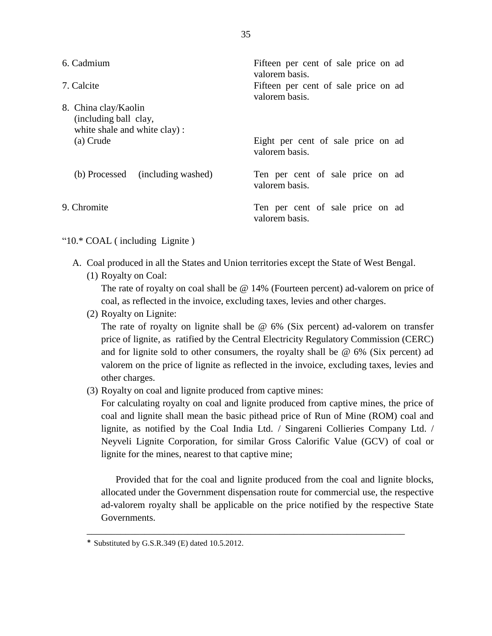| 6. Cadmium<br>7. Calcite                                                                   | Fifteen per cent of sale price on ad<br>valorem basis.<br>Fifteen per cent of sale price on ad<br>valorem basis. |
|--------------------------------------------------------------------------------------------|------------------------------------------------------------------------------------------------------------------|
| 8. China clay/Kaolin<br>(including ball clay,<br>white shale and white clay):<br>(a) Crude | Eight per cent of sale price on ad<br>valorem basis.                                                             |
| (b) Processed (including washed)                                                           | Ten per cent of sale price on ad<br>valorem basis.                                                               |
| 9. Chromite                                                                                | Ten per cent of sale price on ad<br>valorem basis.                                                               |

"10.\* COAL ( including Lignite )

- A. Coal produced in all the States and Union territories except the State of West Bengal.
	- (1) Royalty on Coal:

The rate of royalty on coal shall be @ 14% (Fourteen percent) ad-valorem on price of coal, as reflected in the invoice, excluding taxes, levies and other charges.

(2) Royalty on Lignite:

The rate of royalty on lignite shall be  $\oslash$  6% (Six percent) ad-valorem on transfer price of lignite, as ratified by the Central Electricity Regulatory Commission (CERC) and for lignite sold to other consumers, the royalty shall be  $@$  6% (Six percent) ad valorem on the price of lignite as reflected in the invoice, excluding taxes, levies and other charges.

(3) Royalty on coal and lignite produced from captive mines:

For calculating royalty on coal and lignite produced from captive mines, the price of coal and lignite shall mean the basic pithead price of Run of Mine (ROM) coal and lignite, as notified by the Coal India Ltd. / Singareni Collieries Company Ltd. / Neyveli Lignite Corporation, for similar Gross Calorific Value (GCV) of coal or lignite for the mines, nearest to that captive mine;

Provided that for the coal and lignite produced from the coal and lignite blocks, allocated under the Government dispensation route for commercial use, the respective ad-valorem royalty shall be applicable on the price notified by the respective State Governments.

\_\_\_\_\_\_\_\_\_\_\_\_\_\_\_\_\_\_\_\_\_\_\_\_\_\_\_\_\_\_\_\_\_\_\_\_\_\_\_\_\_\_\_\_\_\_\_\_\_\_\_\_\_\_\_\_\_\_\_\_\_\_\_\_\_\_

<sup>\*</sup> Substituted by G.S.R.349 (E) dated 10.5.2012.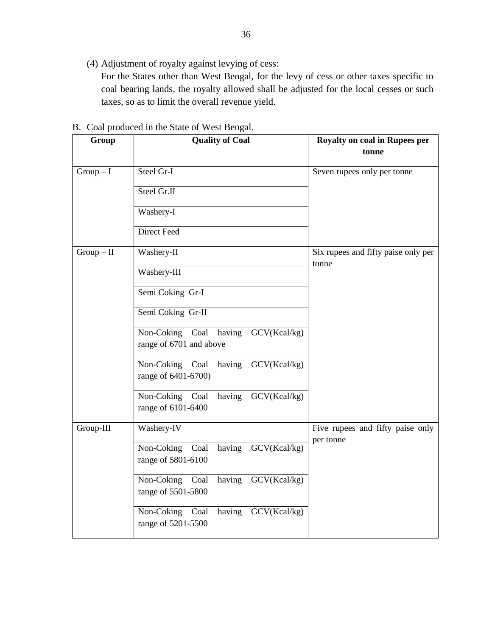(4) Adjustment of royalty against levying of cess:

For the States other than West Bengal, for the levy of cess or other taxes specific to coal bearing lands, the royalty allowed shall be adjusted for the local cesses or such taxes, so as to limit the overall revenue yield.

| Group      | <b>Quality of Coal</b>                                             | Royalty on coal in Rupees per<br>tonne        |
|------------|--------------------------------------------------------------------|-----------------------------------------------|
| $Group-I$  | Steel Gr-I<br>Steel Gr.II                                          | Seven rupees only per tonne                   |
|            | Washery-I                                                          |                                               |
|            | <b>Direct Feed</b>                                                 |                                               |
| $Group-II$ | Washery-II                                                         | Six rupees and fifty paise only per<br>tonne  |
|            | Washery-III                                                        |                                               |
|            | Semi Coking Gr-I                                                   |                                               |
|            | Semi Coking Gr-II                                                  |                                               |
|            | Non-Coking Coal having GCV(Kcal/kg)<br>range of 6701 and above     |                                               |
|            | Non-Coking Coal<br>having GCV(Kcal/kg)<br>range of 6401-6700)      |                                               |
|            | Non-Coking Coal<br>having GCV(Kcal/kg)<br>range of 6101-6400       |                                               |
| Group-III  | Washery-IV                                                         | Five rupees and fifty paise only<br>per tonne |
|            | GCV(Kcal/kg)<br>Non-Coking<br>Coal<br>having<br>range of 5801-6100 |                                               |
|            | Non-Coking Coal<br>GCV(Kcal/kg)<br>having<br>range of 5501-5800    |                                               |
|            | Non-Coking Coal<br>having GCV(Kcal/kg)<br>range of 5201-5500       |                                               |

## B. Coal produced in the State of West Bengal.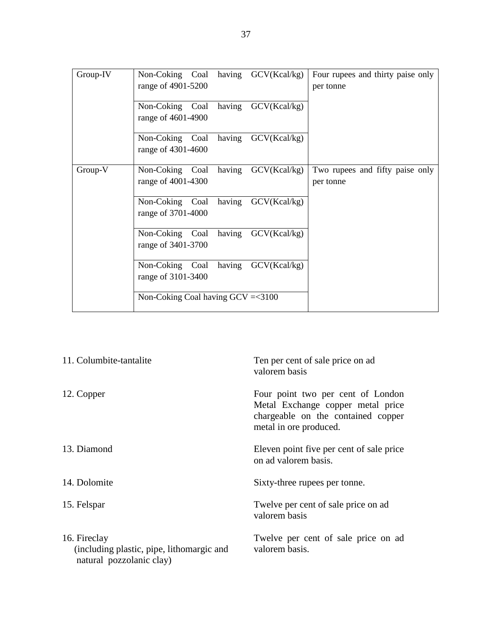| Group-IV | Non-Coking Coal                      | having GCV(Kcal/kg) | Four rupees and thirty paise only |
|----------|--------------------------------------|---------------------|-----------------------------------|
|          | range of 4901-5200                   |                     | per tonne                         |
|          | Non-Coking Coal                      | having GCV(Kcal/kg) |                                   |
|          | range of 4601-4900                   |                     |                                   |
|          |                                      |                     |                                   |
|          | Non-Coking Coal                      | having GCV(Kcal/kg) |                                   |
|          | range of 4301-4600                   |                     |                                   |
| Group-V  | Non-Coking Coal                      | having GCV(Kcal/kg) | Two rupees and fifty paise only   |
|          | range of 4001-4300                   |                     | per tonne                         |
|          | Non-Coking Coal                      | having GCV(Kcal/kg) |                                   |
|          | range of 3701-4000                   |                     |                                   |
|          |                                      |                     |                                   |
|          | Non-Coking Coal                      | having GCV(Kcal/kg) |                                   |
|          | range of 3401-3700                   |                     |                                   |
|          | Non-Coking Coal                      | having GCV(Kcal/kg) |                                   |
|          | range of 3101-3400                   |                     |                                   |
|          | Non-Coking Coal having $GCV = <3100$ |                     |                                   |
|          |                                      |                     |                                   |

| 11. Columbite-tantalite                                                               | Ten per cent of sale price on ad<br>valorem basis                                                                                      |
|---------------------------------------------------------------------------------------|----------------------------------------------------------------------------------------------------------------------------------------|
| 12. Copper                                                                            | Four point two per cent of London<br>Metal Exchange copper metal price<br>chargeable on the contained copper<br>metal in ore produced. |
| 13. Diamond                                                                           | Eleven point five per cent of sale price<br>on ad valorem basis.                                                                       |
| 14. Dolomite                                                                          | Sixty-three rupees per tonne.                                                                                                          |
| 15. Felspar                                                                           | Twelve per cent of sale price on ad<br>valorem basis                                                                                   |
| 16. Fireclay<br>(including plastic, pipe, lithomargic and<br>natural pozzolanic clay) | Twelve per cent of sale price on ad<br>valorem basis.                                                                                  |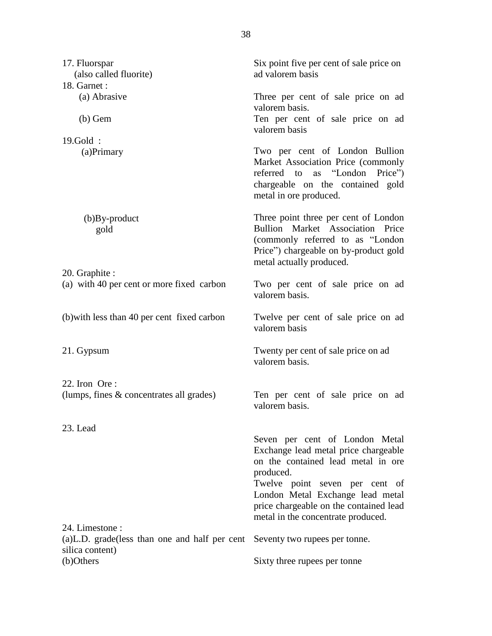| 17. Fluorspar<br>(also called fluorite)<br>18. Garnet :                               | Six point five per cent of sale price on<br>ad valorem basis                                                                                                                                                                                  |
|---------------------------------------------------------------------------------------|-----------------------------------------------------------------------------------------------------------------------------------------------------------------------------------------------------------------------------------------------|
| (a) Abrasive<br>$(b)$ Gem                                                             | Three per cent of sale price on ad<br>valorem basis.<br>Ten per cent of sale price on ad<br>valorem basis                                                                                                                                     |
| 19. Gold:<br>(a)Primary                                                               | Two per cent of London Bullion<br>Market Association Price (commonly<br>referred to as "London Price")<br>chargeable on the contained gold<br>metal in ore produced.                                                                          |
| $(b)$ By-product<br>gold                                                              | Three point three per cent of London<br>Bullion Market Association Price<br>(commonly referred to as "London"<br>Price") chargeable on by-product gold<br>metal actually produced.                                                            |
| 20. Graphite :<br>(a) with 40 per cent or more fixed carbon                           | Two per cent of sale price on ad<br>valorem basis.                                                                                                                                                                                            |
| (b) with less than 40 per cent fixed carbon                                           | Twelve per cent of sale price on ad<br>valorem basis                                                                                                                                                                                          |
| 21. Gypsum                                                                            | Twenty per cent of sale price on ad<br>valorem basis.                                                                                                                                                                                         |
| 22. Iron Ore:<br>(lumps, fines & concentrates all grades)                             | Ten per cent of sale price on ad<br>valorem basis.                                                                                                                                                                                            |
| 23. Lead                                                                              | Seven per cent of London Metal                                                                                                                                                                                                                |
|                                                                                       | Exchange lead metal price chargeable<br>on the contained lead metal in ore<br>produced.<br>Twelve point seven per cent of<br>London Metal Exchange lead metal<br>price chargeable on the contained lead<br>metal in the concentrate produced. |
| 24. Limestone:<br>$(a)$ L.D. grade(less than one and half per cent<br>silica content) | Seventy two rupees per tonne.                                                                                                                                                                                                                 |
| (b)Others                                                                             | Sixty three rupees per tonne                                                                                                                                                                                                                  |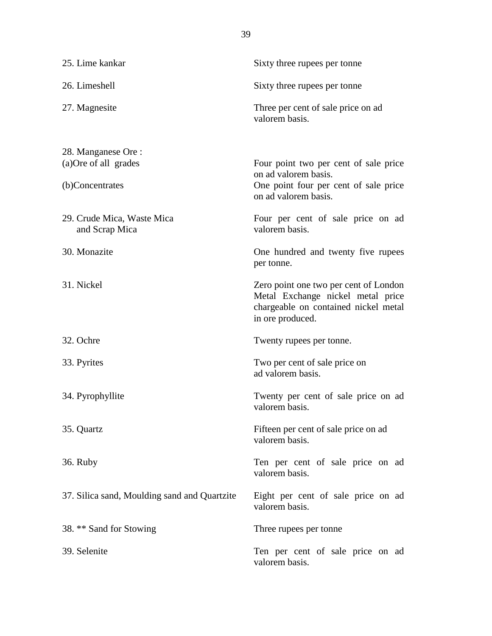| 25. Lime kankar                                                | Sixty three rupees per tonne                                                                                                           |
|----------------------------------------------------------------|----------------------------------------------------------------------------------------------------------------------------------------|
| 26. Limeshell                                                  | Sixty three rupees per tonne                                                                                                           |
| 27. Magnesite                                                  | Three per cent of sale price on ad<br>valorem basis.                                                                                   |
| 28. Manganese Ore:<br>(a) Ore of all grades<br>(b)Concentrates | Four point two per cent of sale price<br>on ad valorem basis.<br>One point four per cent of sale price<br>on ad valorem basis.         |
| 29. Crude Mica, Waste Mica<br>and Scrap Mica                   | Four per cent of sale price on ad<br>valorem basis.                                                                                    |
| 30. Monazite                                                   | One hundred and twenty five rupees<br>per tonne.                                                                                       |
| 31. Nickel                                                     | Zero point one two per cent of London<br>Metal Exchange nickel metal price<br>chargeable on contained nickel metal<br>in ore produced. |
| 32. Ochre                                                      | Twenty rupees per tonne.                                                                                                               |
| 33. Pyrites                                                    | Two per cent of sale price on<br>ad valorem basis.                                                                                     |
| 34. Pyrophyllite                                               | Twenty per cent of sale price on ad<br>valorem basis.                                                                                  |
| 35. Quartz                                                     | Fifteen per cent of sale price on ad<br>valorem basis.                                                                                 |
| <b>36. Ruby</b>                                                | Ten per cent of sale price on ad<br>valorem basis.                                                                                     |
| 37. Silica sand, Moulding sand and Quartzite                   | Eight per cent of sale price on ad<br>valorem basis.                                                                                   |
| 38. ** Sand for Stowing                                        | Three rupees per tonne                                                                                                                 |
| 39. Selenite                                                   | Ten per cent of sale price on ad<br>valorem basis.                                                                                     |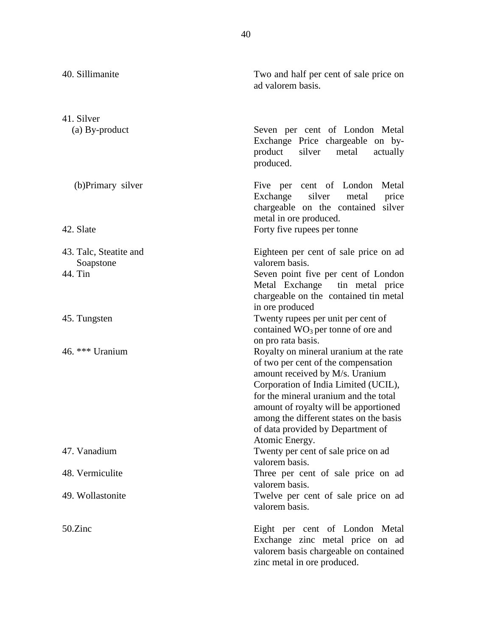| 40. Sillimanite                                | Two and half per cent of sale price on<br>ad valorem basis.                                                                                                                                                                                                                                                                                                        |
|------------------------------------------------|--------------------------------------------------------------------------------------------------------------------------------------------------------------------------------------------------------------------------------------------------------------------------------------------------------------------------------------------------------------------|
| 41. Silver<br>(a) By-product                   | Seven per cent of London Metal<br>Exchange Price chargeable on by-<br>product<br>silver<br>metal<br>actually<br>produced.                                                                                                                                                                                                                                          |
| (b) Primary silver<br>42. Slate                | Five per cent of London Metal<br>Exchange silver<br>metal price<br>chargeable on the contained silver<br>metal in ore produced.<br>Forty five rupees per tonne                                                                                                                                                                                                     |
| 43. Talc, Steatite and<br>Soapstone<br>44. Tin | Eighteen per cent of sale price on ad<br>valorem basis.<br>Seven point five per cent of London<br>Metal Exchange tin metal price<br>chargeable on the contained tin metal<br>in ore produced                                                                                                                                                                       |
| 45. Tungsten                                   | Twenty rupees per unit per cent of<br>contained $WO_3$ per tonne of ore and                                                                                                                                                                                                                                                                                        |
| 46. *** Uranium                                | on pro rata basis.<br>Royalty on mineral uranium at the rate<br>of two per cent of the compensation<br>amount received by M/s. Uranium<br>Corporation of India Limited (UCIL),<br>for the mineral uranium and the total<br>amount of royalty will be apportioned<br>among the different states on the basis<br>of data provided by Department of<br>Atomic Energy. |
| 47. Vanadium                                   | Twenty per cent of sale price on ad<br>valorem basis.                                                                                                                                                                                                                                                                                                              |
| 48. Vermiculite                                | Three per cent of sale price on ad<br>valorem basis.                                                                                                                                                                                                                                                                                                               |
| 49. Wollastonite                               | Twelve per cent of sale price on ad<br>valorem basis.                                                                                                                                                                                                                                                                                                              |
| 50.Zinc                                        | Eight per cent of London Metal<br>Exchange zinc metal price on ad<br>valorem basis chargeable on contained<br>zinc metal in ore produced.                                                                                                                                                                                                                          |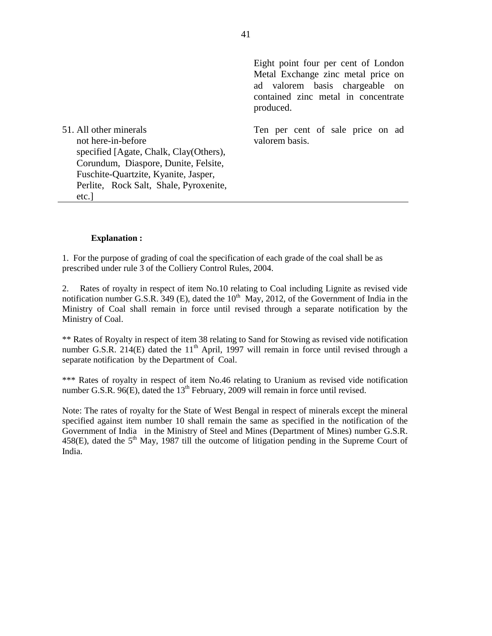|                                                                                                                                                                                                                          | Eight point four per cent of London<br>Metal Exchange zinc metal price on<br>ad valorem basis chargeable on<br>contained zinc metal in concentrate<br>produced. |
|--------------------------------------------------------------------------------------------------------------------------------------------------------------------------------------------------------------------------|-----------------------------------------------------------------------------------------------------------------------------------------------------------------|
| 51. All other minerals<br>not here-in-before<br>specified [Agate, Chalk, Clay(Others),<br>Corundum, Diaspore, Dunite, Felsite,<br>Fuschite-Quartzite, Kyanite, Jasper,<br>Perlite, Rock Salt, Shale, Pyroxenite,<br>etc. | Ten per cent of sale price on ad<br>valorem basis.                                                                                                              |

#### **Explanation :**

1. For the purpose of grading of coal the specification of each grade of the coal shall be as prescribed under rule 3 of the Colliery Control Rules, 2004.

2. Rates of royalty in respect of item No.10 relating to Coal including Lignite as revised vide notification number G.S.R. 349 (E), dated the  $10<sup>th</sup>$  May, 2012, of the Government of India in the Ministry of Coal shall remain in force until revised through a separate notification by the Ministry of Coal.

\*\* Rates of Royalty in respect of item 38 relating to Sand for Stowing as revised vide notification number G.S.R. 214(E) dated the  $11<sup>th</sup>$  April, 1997 will remain in force until revised through a separate notification by the Department of Coal.

\*\*\* Rates of royalty in respect of item No.46 relating to Uranium as revised vide notification number G.S.R.  $96(E)$ , dated the 13<sup>th</sup> February, 2009 will remain in force until revised.

Note: The rates of royalty for the State of West Bengal in respect of minerals except the mineral specified against item number 10 shall remain the same as specified in the notification of the Government of India in the Ministry of Steel and Mines (Department of Mines) number G.S.R.  $458(E)$ , dated the  $5<sup>th</sup>$  May, 1987 till the outcome of litigation pending in the Supreme Court of India.